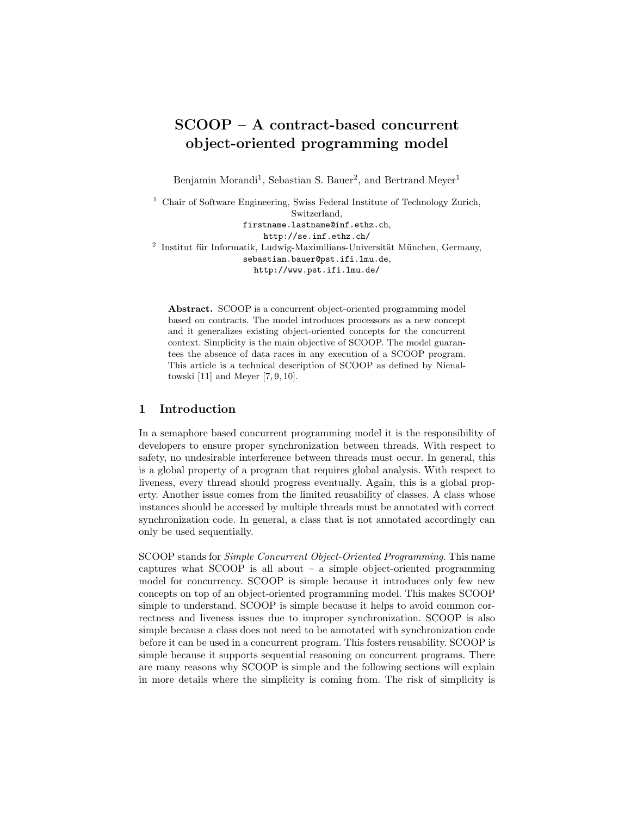# SCOOP – A contract-based concurrent object-oriented programming model

Benjamin Morandi<sup>1</sup>, Sebastian S. Bauer<sup>2</sup>, and Bertrand Meyer<sup>1</sup>

 $^{\rm 1}$  Chair of Software Engineering, Swiss Federal Institute of Technology Zurich, Switzerland, firstname.lastname@inf.ethz.ch, http://se.inf.ethz.ch/  $2$  Institut für Informatik, Ludwig-Maximilians-Universität München, Germany, sebastian.bauer@pst.ifi.lmu.de, http://www.pst.ifi.lmu.de/

Abstract. SCOOP is a concurrent object-oriented programming model based on contracts. The model introduces processors as a new concept and it generalizes existing object-oriented concepts for the concurrent context. Simplicity is the main objective of SCOOP. The model guarantees the absence of data races in any execution of a SCOOP program. This article is a technical description of SCOOP as defined by Nienaltowski [11] and Meyer [7, 9, 10].

### 1 Introduction

In a semaphore based concurrent programming model it is the responsibility of developers to ensure proper synchronization between threads. With respect to safety, no undesirable interference between threads must occur. In general, this is a global property of a program that requires global analysis. With respect to liveness, every thread should progress eventually. Again, this is a global property. Another issue comes from the limited reusability of classes. A class whose instances should be accessed by multiple threads must be annotated with correct synchronization code. In general, a class that is not annotated accordingly can only be used sequentially.

SCOOP stands for Simple Concurrent Object-Oriented Programming. This name captures what  $SCOOP$  is all about  $-$  a simple object-oriented programming model for concurrency. SCOOP is simple because it introduces only few new concepts on top of an object-oriented programming model. This makes SCOOP simple to understand. SCOOP is simple because it helps to avoid common correctness and liveness issues due to improper synchronization. SCOOP is also simple because a class does not need to be annotated with synchronization code before it can be used in a concurrent program. This fosters reusability. SCOOP is simple because it supports sequential reasoning on concurrent programs. There are many reasons why SCOOP is simple and the following sections will explain in more details where the simplicity is coming from. The risk of simplicity is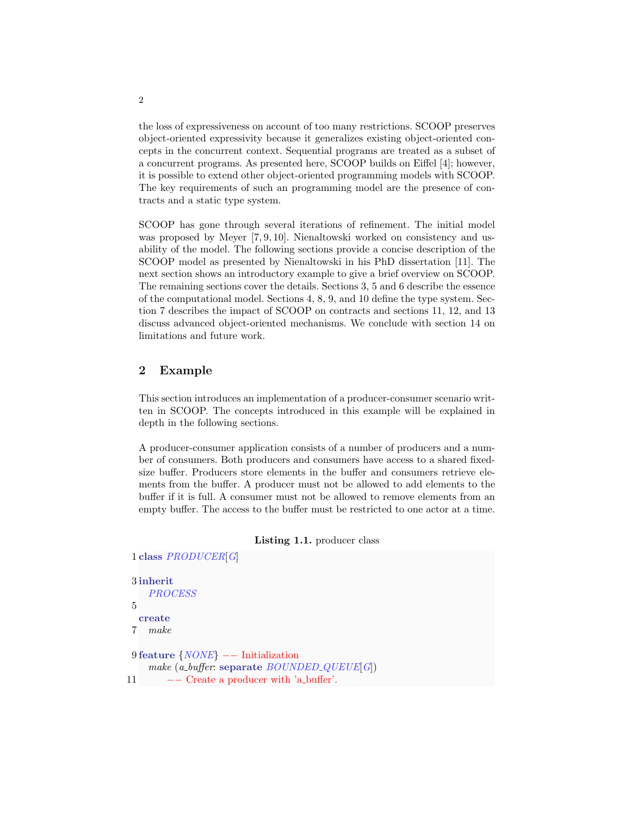the loss of expressiveness on account of too many restrictions. SCOOP preserves object-oriented expressivity because it generalizes existing object-oriented concepts in the concurrent context. Sequential programs are treated as a subset of a concurrent programs. As presented here, SCOOP builds on Eiffel [4]; however, it is possible to extend other object-oriented programming models with SCOOP. The key requirements of such an programming model are the presence of contracts and a static type system.

SCOOP has gone through several iterations of refinement. The initial model was proposed by Meyer [7, 9, 10]. Nienaltowski worked on consistency and usability of the model. The following sections provide a concise description of the SCOOP model as presented by Nienaltowski in his PhD dissertation [11]. The next section shows an introductory example to give a brief overview on SCOOP. The remaining sections cover the details. Sections 3, 5 and 6 describe the essence of the computational model. Sections 4, 8, 9, and 10 define the type system. Section 7 describes the impact of SCOOP on contracts and sections 11, 12, and 13 discuss advanced object-oriented mechanisms. We conclude with section 14 on limitations and future work.

# 2 Example

This section introduces an implementation of a producer-consumer scenario written in SCOOP. The concepts introduced in this example will be explained in depth in the following sections.

A producer-consumer application consists of a number of producers and a number of consumers. Both producers and consumers have access to a shared fixedsize buffer. Producers store elements in the buffer and consumers retrieve elements from the buffer. A producer must not be allowed to add elements to the buffer if it is full. A consumer must not be allowed to remove elements from an empty buffer. The access to the buffer must be restricted to one actor at a time.



```
1 class PRODUCER[G]
3 inherit
    PROCESS
5
  create
 7 make
9 feature {NONE} −− Initialization
    make (a\_buffer: separate BOUNDED_QUEUE[G])11 −− Create a producer with 'a buffer'.
```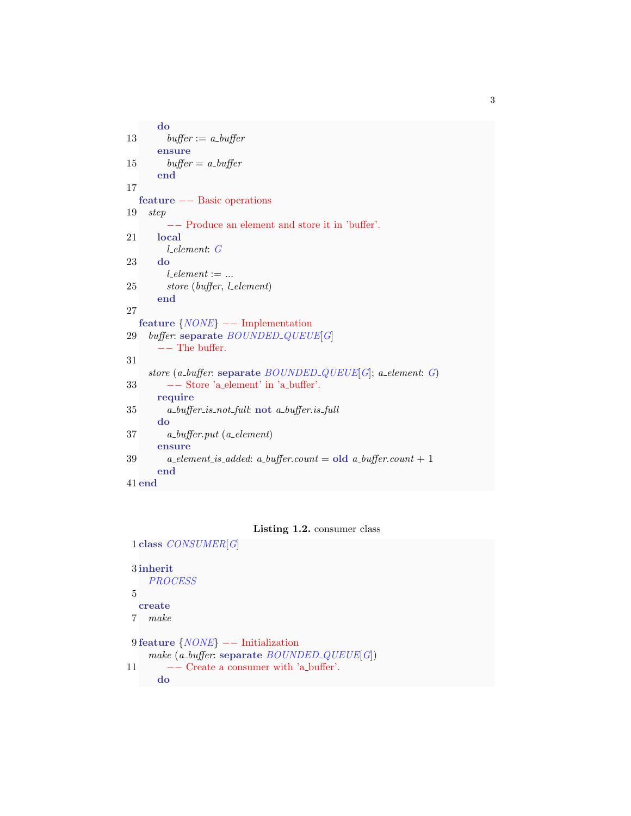```
do
13 buffer := a_bufferensure
15 buffer = a_bufferend
17
  feature −− Basic operations
19 step
        −− Produce an element and store it in 'buffer'.
21 local
        l element: G
23 do
        l-element := ...
25 store (buffer, l_element)
      end
27
  feature \{NONE\} -- Implementation
29 buffer: separate BOUNDED_QUEUE[G]
       −− The buffer.
31
    store (a buffer: separate BOUNDED QUEUE[G]; a element: G)
33 −− Store 'a_element' in 'a_buffer'.
      require
35 a buffer is not full: not a buffer.is full
      do
37 a buffer.put (a element)
      ensure
39 a_{\text{-}element\_is_{\text{-}}added: a_{\text{-}}buffer.count = old a_{\text{-}}buffer.count + 1end
41 end
```
### Listing 1.2. consumer class

```
1 class CONSUMER[G]
3 inherit
    PROCESS
5
  create
7 make
9 feature {NONE} −− Initialization
   make (a_buffer: separate BOUNDED_QUEUE[G])
11 −− Create a consumer with 'a buffer'.
     do
```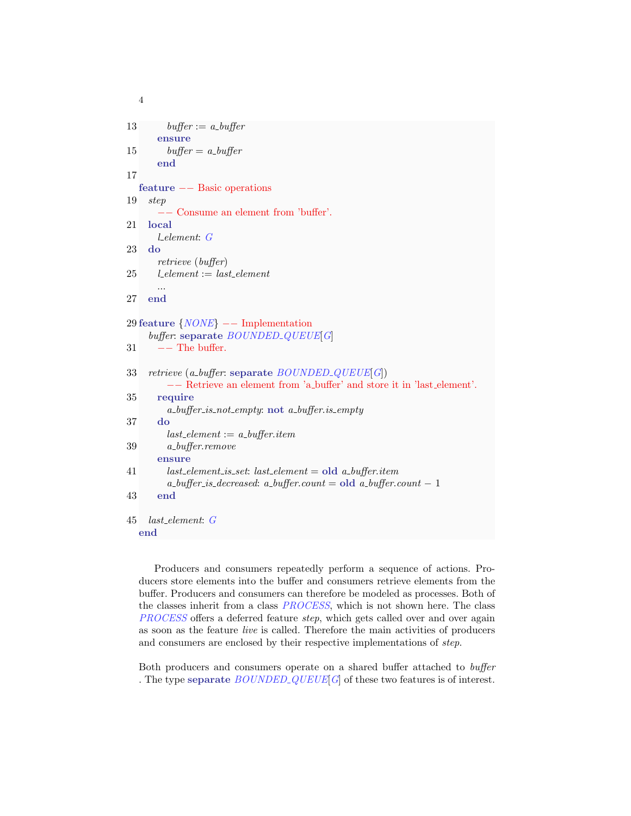```
4
13 buffer := a_bufferensure
15 buffer = a_bufferend
17
  feature −− Basic operations
19 step
       −− Consume an element from 'buffer'.
21 local
      l element: G
23 do
      retrieve (buffer)
25 l-element := last-element
      ...
27 end
29 feature {NONE} −− Implementation
    buffer: separate BOUNDED_QUEUE[G]31 \quad -\quad The buffer.
33 retrieve (a buffer: separate BOUNDED_QUEUE[G])
        −− Retrieve an element from 'a buffer' and store it in 'last element'.
35 require
        a buffer is not empty: not a buffer.is empty
37 do
        last\_element := a\_buffer.item39 a buffer.remove
      ensure
41 last_element_is_set: last_element = old a_buffer.item
        a_b buffer_is_decreased: a_b buffer.count = old a_b buffer.count - 1
43 end
45 last element: G
  end
```
Producers and consumers repeatedly perform a sequence of actions. Producers store elements into the buffer and consumers retrieve elements from the buffer. Producers and consumers can therefore be modeled as processes. Both of the classes inherit from a class **PROCESS**, which is not shown here. The class PROCESS offers a deferred feature step, which gets called over and over again as soon as the feature live is called. Therefore the main activities of producers and consumers are enclosed by their respective implementations of step.

Both producers and consumers operate on a shared buffer attached to buffer . The type separate  $BOUNDED$  QUEUE G of these two features is of interest.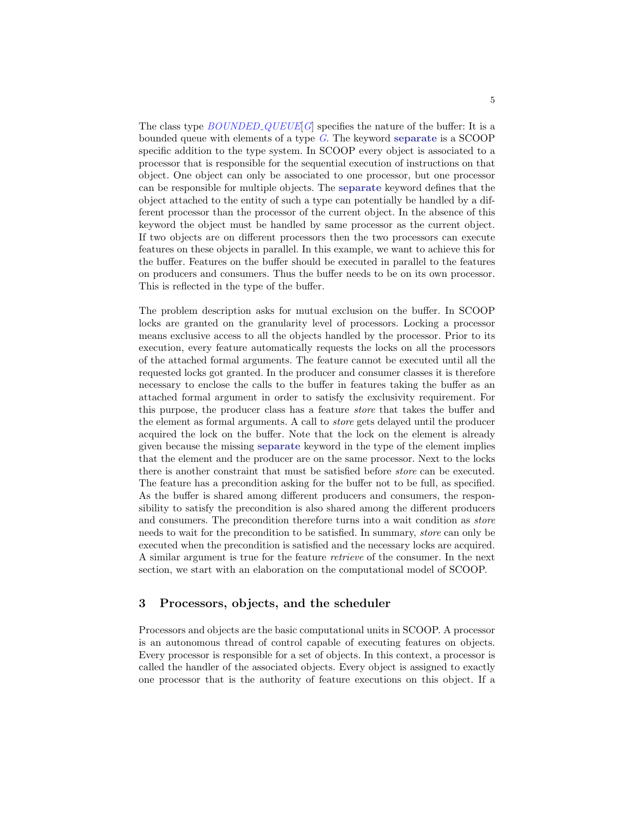The class type  $BOUNDED_QUEUE[G]$  specifies the nature of the buffer: It is a bounded queue with elements of a type  $G$ . The keyword separate is a SCOOP specific addition to the type system. In SCOOP every object is associated to a processor that is responsible for the sequential execution of instructions on that object. One object can only be associated to one processor, but one processor can be responsible for multiple objects. The separate keyword defines that the object attached to the entity of such a type can potentially be handled by a different processor than the processor of the current object. In the absence of this keyword the object must be handled by same processor as the current object. If two objects are on different processors then the two processors can execute features on these objects in parallel. In this example, we want to achieve this for the buffer. Features on the buffer should be executed in parallel to the features on producers and consumers. Thus the buffer needs to be on its own processor. This is reflected in the type of the buffer.

The problem description asks for mutual exclusion on the buffer. In SCOOP locks are granted on the granularity level of processors. Locking a processor means exclusive access to all the objects handled by the processor. Prior to its execution, every feature automatically requests the locks on all the processors of the attached formal arguments. The feature cannot be executed until all the requested locks got granted. In the producer and consumer classes it is therefore necessary to enclose the calls to the buffer in features taking the buffer as an attached formal argument in order to satisfy the exclusivity requirement. For this purpose, the producer class has a feature store that takes the buffer and the element as formal arguments. A call to store gets delayed until the producer acquired the lock on the buffer. Note that the lock on the element is already given because the missing separate keyword in the type of the element implies that the element and the producer are on the same processor. Next to the locks there is another constraint that must be satisfied before store can be executed. The feature has a precondition asking for the buffer not to be full, as specified. As the buffer is shared among different producers and consumers, the responsibility to satisfy the precondition is also shared among the different producers and consumers. The precondition therefore turns into a wait condition as store needs to wait for the precondition to be satisfied. In summary, store can only be executed when the precondition is satisfied and the necessary locks are acquired. A similar argument is true for the feature retrieve of the consumer. In the next section, we start with an elaboration on the computational model of SCOOP.

### 3 Processors, objects, and the scheduler

Processors and objects are the basic computational units in SCOOP. A processor is an autonomous thread of control capable of executing features on objects. Every processor is responsible for a set of objects. In this context, a processor is called the handler of the associated objects. Every object is assigned to exactly one processor that is the authority of feature executions on this object. If a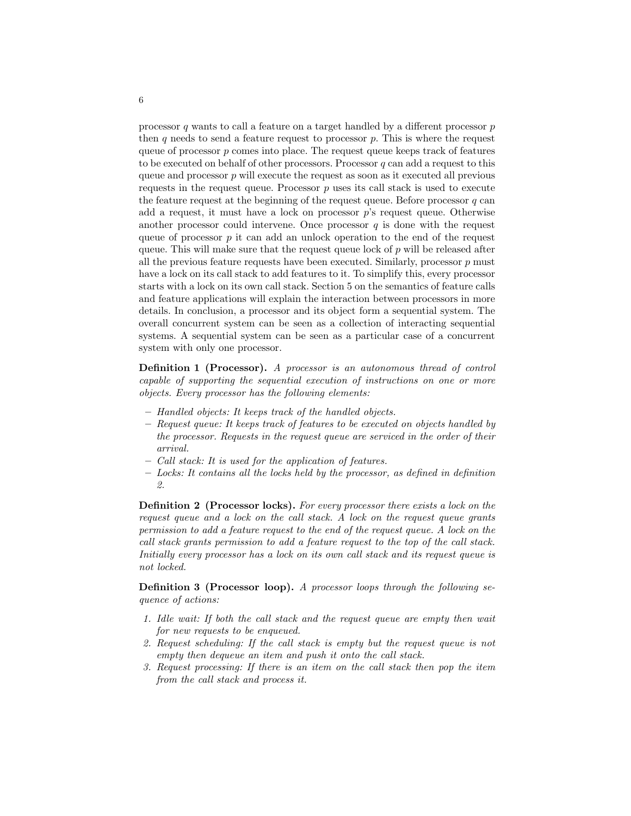processor q wants to call a feature on a target handled by a different processor  $p$ then  $q$  needs to send a feature request to processor  $p$ . This is where the request queue of processor  $p$  comes into place. The request queue keeps track of features to be executed on behalf of other processors. Processor  $q$  can add a request to this queue and processor  $p$  will execute the request as soon as it executed all previous requests in the request queue. Processor  $p$  uses its call stack is used to execute the feature request at the beginning of the request queue. Before processor  $q$  can add a request, it must have a lock on processor p's request queue. Otherwise another processor could intervene. Once processor  $q$  is done with the request queue of processor  $p$  it can add an unlock operation to the end of the request queue. This will make sure that the request queue lock of  $p$  will be released after all the previous feature requests have been executed. Similarly, processor  $p$  must have a lock on its call stack to add features to it. To simplify this, every processor starts with a lock on its own call stack. Section 5 on the semantics of feature calls and feature applications will explain the interaction between processors in more details. In conclusion, a processor and its object form a sequential system. The overall concurrent system can be seen as a collection of interacting sequential systems. A sequential system can be seen as a particular case of a concurrent system with only one processor.

Definition 1 (Processor). A processor is an autonomous thread of control capable of supporting the sequential execution of instructions on one or more objects. Every processor has the following elements:

- Handled objects: It keeps track of the handled objects.
- Request queue: It keeps track of features to be executed on objects handled by the processor. Requests in the request queue are serviced in the order of their arrival.
- Call stack: It is used for the application of features.
- Locks: It contains all the locks held by the processor, as defined in definition 2.

Definition 2 (Processor locks). For every processor there exists a lock on the request queue and a lock on the call stack. A lock on the request queue grants permission to add a feature request to the end of the request queue. A lock on the call stack grants permission to add a feature request to the top of the call stack. Initially every processor has a lock on its own call stack and its request queue is not locked.

Definition 3 (Processor loop). A processor loops through the following sequence of actions:

- 1. Idle wait: If both the call stack and the request queue are empty then wait for new requests to be enqueued.
- 2. Request scheduling: If the call stack is empty but the request queue is not empty then dequeue an item and push it onto the call stack.
- 3. Request processing: If there is an item on the call stack then pop the item from the call stack and process it.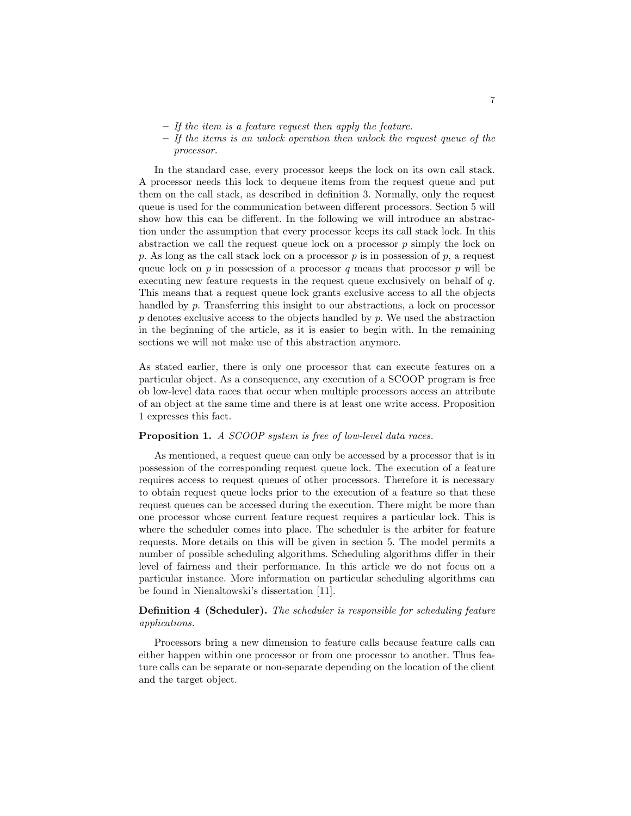- If the item is a feature request then apply the feature.
- If the items is an unlock operation then unlock the request queue of the processor.

In the standard case, every processor keeps the lock on its own call stack. A processor needs this lock to dequeue items from the request queue and put them on the call stack, as described in definition 3. Normally, only the request queue is used for the communication between different processors. Section 5 will show how this can be different. In the following we will introduce an abstraction under the assumption that every processor keeps its call stack lock. In this abstraction we call the request queue lock on a processor  $p$  simply the lock on p. As long as the call stack lock on a processor  $p$  is in possession of  $p$ , a request queue lock on  $p$  in possession of a processor  $q$  means that processor  $p$  will be executing new feature requests in the request queue exclusively on behalf of q. This means that a request queue lock grants exclusive access to all the objects handled by p. Transferring this insight to our abstractions, a lock on processor  $p$  denotes exclusive access to the objects handled by  $p$ . We used the abstraction in the beginning of the article, as it is easier to begin with. In the remaining sections we will not make use of this abstraction anymore.

As stated earlier, there is only one processor that can execute features on a particular object. As a consequence, any execution of a SCOOP program is free ob low-level data races that occur when multiple processors access an attribute of an object at the same time and there is at least one write access. Proposition 1 expresses this fact.

### Proposition 1. A SCOOP system is free of low-level data races.

As mentioned, a request queue can only be accessed by a processor that is in possession of the corresponding request queue lock. The execution of a feature requires access to request queues of other processors. Therefore it is necessary to obtain request queue locks prior to the execution of a feature so that these request queues can be accessed during the execution. There might be more than one processor whose current feature request requires a particular lock. This is where the scheduler comes into place. The scheduler is the arbiter for feature requests. More details on this will be given in section 5. The model permits a number of possible scheduling algorithms. Scheduling algorithms differ in their level of fairness and their performance. In this article we do not focus on a particular instance. More information on particular scheduling algorithms can be found in Nienaltowski's dissertation [11].

# Definition 4 (Scheduler). The scheduler is responsible for scheduling feature applications.

Processors bring a new dimension to feature calls because feature calls can either happen within one processor or from one processor to another. Thus feature calls can be separate or non-separate depending on the location of the client and the target object.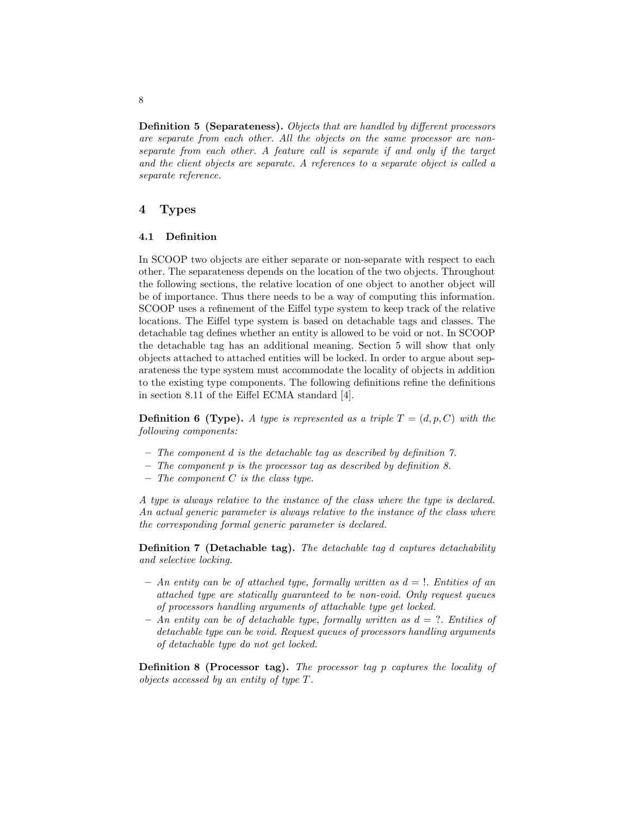Definition 5 (Separateness). Objects that are handled by different processors are separate from each other. All the objects on the same processor are nonseparate from each other. A feature call is separate if and only if the target and the client objects are separate. A references to a separate object is called a separate reference.

# 4 Types

### 4.1 Definition

In SCOOP two objects are either separate or non-separate with respect to each other. The separateness depends on the location of the two objects. Throughout the following sections, the relative location of one object to another object will be of importance. Thus there needs to be a way of computing this information. SCOOP uses a refinement of the Eiffel type system to keep track of the relative locations. The Eiffel type system is based on detachable tags and classes. The detachable tag defines whether an entity is allowed to be void or not. In SCOOP the detachable tag has an additional meaning. Section 5 will show that only objects attached to attached entities will be locked. In order to argue about separateness the type system must accommodate the locality of objects in addition to the existing type components. The following definitions refine the definitions in section 8.11 of the Eiffel ECMA standard [4].

**Definition 6 (Type).** A type is represented as a triple  $T = (d, p, C)$  with the following components:

- $-$  The component d is the detachable tag as described by definition 7.
- $-$  The component p is the processor tag as described by definition 8.
- $-$  The component C is the class type.

A type is always relative to the instance of the class where the type is declared. An actual generic parameter is always relative to the instance of the class where the corresponding formal generic parameter is declared.

Definition 7 (Detachable tag). The detachable tag d captures detachability and selective locking.

- An entity can be of attached type, formally written as  $d = !$ . Entities of an attached type are statically guaranteed to be non-void. Only request queues of processors handling arguments of attachable type get locked.
- $An$  entity can be of detachable type, formally written as  $d = ?$ . Entities of detachable type can be void. Request queues of processors handling arguments of detachable type do not get locked.

Definition 8 (Processor tag). The processor tag p captures the locality of objects accessed by an entity of type T.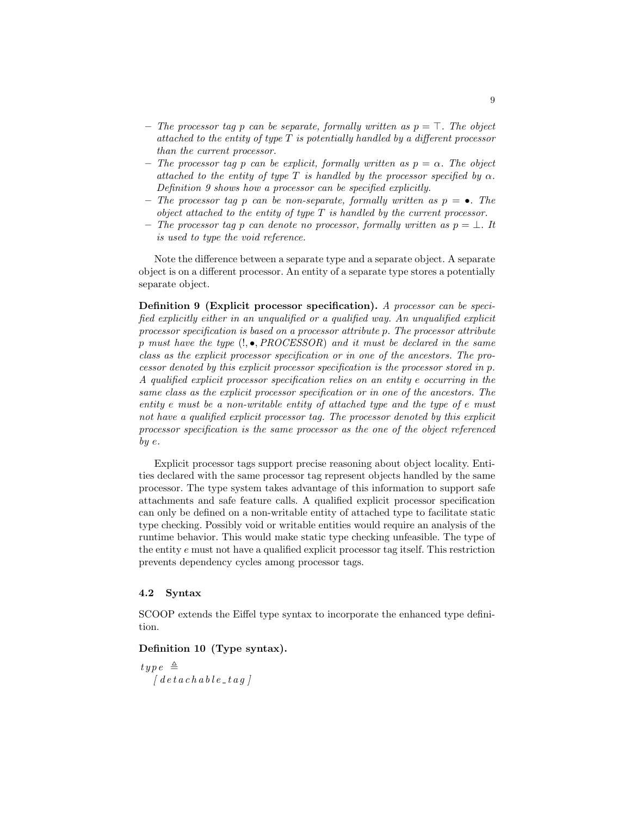- The processor tag p can be separate, formally written as  $p = \top$ . The object attached to the entity of type  $T$  is potentially handled by a different processor than the current processor.
- The processor tag p can be explicit, formally written as  $p = \alpha$ . The object attached to the entity of type T is handled by the processor specified by  $\alpha$ . Definition 9 shows how a processor can be specified explicitly.
- The processor tag p can be non-separate, formally written as  $p = \bullet$ . The object attached to the entity of type  $T$  is handled by the current processor.
- $−$  The processor tag p can denote no processor, formally written as  $p = ⊥$ . It is used to type the void reference.

Note the difference between a separate type and a separate object. A separate object is on a different processor. An entity of a separate type stores a potentially separate object.

Definition 9 (Explicit processor specification). A processor can be specified explicitly either in an unqualified or a qualified way. An unqualified explicit processor specification is based on a processor attribute p. The processor attribute p must have the type  $(!, \bullet, PROCESSOR)$  and it must be declared in the same class as the explicit processor specification or in one of the ancestors. The processor denoted by this explicit processor specification is the processor stored in p. A qualified explicit processor specification relies on an entity e occurring in the same class as the explicit processor specification or in one of the ancestors. The entity e must be a non-writable entity of attached type and the type of e must not have a qualified explicit processor tag. The processor denoted by this explicit processor specification is the same processor as the one of the object referenced by e.

Explicit processor tags support precise reasoning about object locality. Entities declared with the same processor tag represent objects handled by the same processor. The type system takes advantage of this information to support safe attachments and safe feature calls. A qualified explicit processor specification can only be defined on a non-writable entity of attached type to facilitate static type checking. Possibly void or writable entities would require an analysis of the runtime behavior. This would make static type checking unfeasible. The type of the entity e must not have a qualified explicit processor tag itself. This restriction prevents dependency cycles among processor tags.

### 4.2 Syntax

SCOOP extends the Eiffel type syntax to incorporate the enhanced type definition.

#### Definition 10 (Type syntax).

 $t \vee v \vee e \triangleq$  $\int d\,e\,t\,a\,c\,h\,a\,b\,l\,e_-\,t\,a\,q$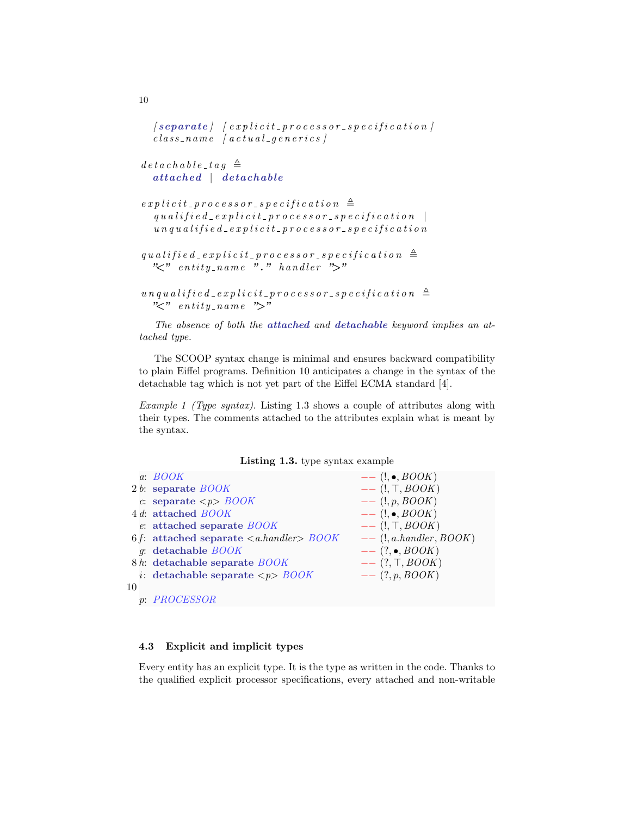```
[separate] \{ \begin{subarray}{c} \in {split}}class_name [ actual\_generics ]
d \, e \, t \, a \, c \, h \, a \, b \, l \, e_- \, t \, a \, g \, \triangleqattached | detachable
e x p li c i t, p r o c e s s o r, s p e c if i c a t i o n, \triangleqqu \, a \, life \, d\_explic \, it\_process \, or \, \_spe \, c \, if \, i \, c \, a \, t \, i \, on \, \Boxu \, n \, q \, u \, a \, l \, if \, i \, e \, d \, e \, x \, p \, l \, i \, c \, i \, t \, . p \, r \, o \, c \, e \, s \, s \, o \, r \, . s \, p \, e \, c \, if \, i \, c \, a \, t \, i \, o \, nqualified\_explicit\_proc\,ess or\_specific\,ation\ \triangleq"\lt" entity_name "." handler ">"
u n q u a l i f i e d_{\texttt{S}} e x p l i c i t_{\texttt{S}} p r o c e s s o r_{\texttt{S}} s p e c i f i c a t i o n_{\texttt{S}} \triangleq"\lt" entity-name">"
```
The absence of both the attached and detachable keyword implies an attached type.

The SCOOP syntax change is minimal and ensures backward compatibility to plain Eiffel programs. Definition 10 anticipates a change in the syntax of the detachable tag which is not yet part of the Eiffel ECMA standard [4].

Example 1 (Type syntax). Listing 1.3 shows a couple of attributes along with their types. The comments attached to the attributes explain what is meant by the syntax.

Listing 1.3. type syntax example

|    | a: BOOK                                                 | $-- (!, \bullet, BOOK)$        |
|----|---------------------------------------------------------|--------------------------------|
|    | 2 $b$ : separate $BOOK$                                 | $-- (!, \top, BOOK)$           |
|    | c: separate $\langle p \rangle$ BOOK                    | $--(!, p, BOOK)$               |
|    | 4 d: attached BOOK                                      | $--(!,\bullet, \textit{BOOK})$ |
|    | $e$ : attached separate $BOOK$                          | $-- (!, \top, BOOK)$           |
|    | 6 f: attached separate $\langle a.handler \rangle$ BOOK | $---(!, a.handler, BOOK)$      |
|    | $q$ : detachable $BOOK$                                 | $-- (?, \bullet, BOOK)$        |
|    | 8 h: detachable separate BOOK                           | $-- (?, \top, BOOK)$           |
|    | <i>i</i> : detachable separate $\langle p \rangle$ BOOK | $--(?, p, BOOK)$               |
| 10 |                                                         |                                |
|    | p: PROCESSOR                                            |                                |

### 4.3 Explicit and implicit types

Every entity has an explicit type. It is the type as written in the code. Thanks to the qualified explicit processor specifications, every attached and non-writable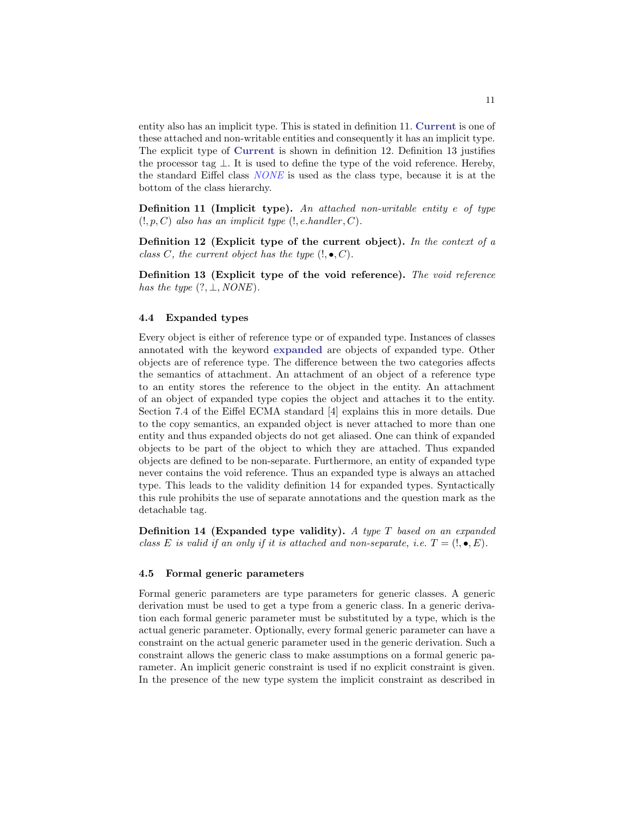entity also has an implicit type. This is stated in definition 11. Current is one of these attached and non-writable entities and consequently it has an implicit type. The explicit type of Current is shown in definition 12. Definition 13 justifies the processor tag  $\perp$ . It is used to define the type of the void reference. Hereby, the standard Eiffel class NONE is used as the class type, because it is at the bottom of the class hierarchy.

**Definition 11 (Implicit type).** An attached non-writable entity e of type  $(!, p, C)$  also has an implicit type  $(!, e. handler, C).$ 

Definition 12 (Explicit type of the current object). In the context of a class C, the current object has the type  $(l, \bullet, C)$ .

Definition 13 (Explicit type of the void reference). The void reference has the type  $(?, \bot, NONE)$ .

### 4.4 Expanded types

Every object is either of reference type or of expanded type. Instances of classes annotated with the keyword expanded are objects of expanded type. Other objects are of reference type. The difference between the two categories affects the semantics of attachment. An attachment of an object of a reference type to an entity stores the reference to the object in the entity. An attachment of an object of expanded type copies the object and attaches it to the entity. Section 7.4 of the Eiffel ECMA standard [4] explains this in more details. Due to the copy semantics, an expanded object is never attached to more than one entity and thus expanded objects do not get aliased. One can think of expanded objects to be part of the object to which they are attached. Thus expanded objects are defined to be non-separate. Furthermore, an entity of expanded type never contains the void reference. Thus an expanded type is always an attached type. This leads to the validity definition 14 for expanded types. Syntactically this rule prohibits the use of separate annotations and the question mark as the detachable tag.

Definition 14 (Expanded type validity). A type  $T$  based on an expanded class E is valid if an only if it is attached and non-separate, i.e.  $T = (!, \bullet, E)$ .

#### 4.5 Formal generic parameters

Formal generic parameters are type parameters for generic classes. A generic derivation must be used to get a type from a generic class. In a generic derivation each formal generic parameter must be substituted by a type, which is the actual generic parameter. Optionally, every formal generic parameter can have a constraint on the actual generic parameter used in the generic derivation. Such a constraint allows the generic class to make assumptions on a formal generic parameter. An implicit generic constraint is used if no explicit constraint is given. In the presence of the new type system the implicit constraint as described in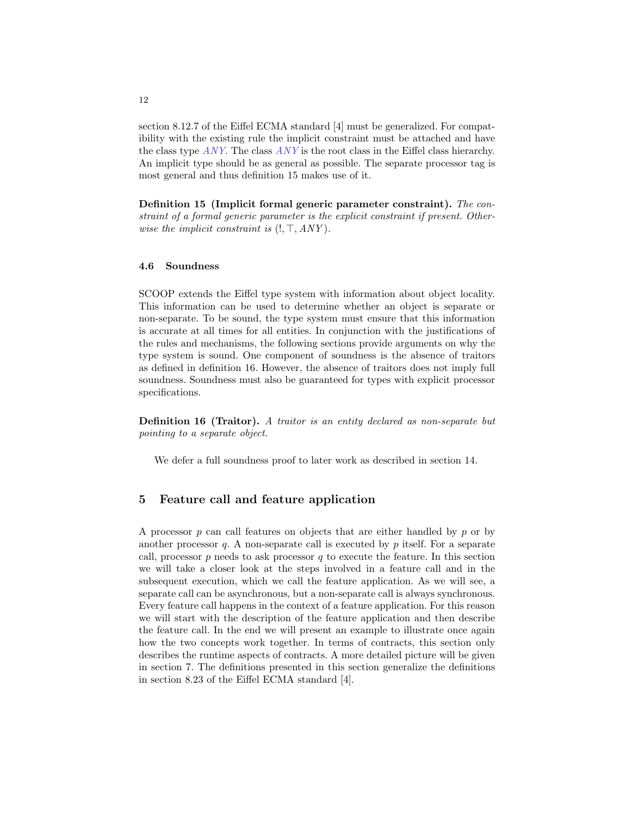section 8.12.7 of the Eiffel ECMA standard  $|4|$  must be generalized. For compatibility with the existing rule the implicit constraint must be attached and have the class type  $ANY$ . The class  $ANY$  is the root class in the Eiffel class hierarchy. An implicit type should be as general as possible. The separate processor tag is most general and thus definition 15 makes use of it.

Definition 15 (Implicit formal generic parameter constraint). The constraint of a formal generic parameter is the explicit constraint if present. Otherwise the implicit constraint is  $(!, \top, \text{ANY}).$ 

### 4.6 Soundness

SCOOP extends the Eiffel type system with information about object locality. This information can be used to determine whether an object is separate or non-separate. To be sound, the type system must ensure that this information is accurate at all times for all entities. In conjunction with the justifications of the rules and mechanisms, the following sections provide arguments on why the type system is sound. One component of soundness is the absence of traitors as defined in definition 16. However, the absence of traitors does not imply full soundness. Soundness must also be guaranteed for types with explicit processor specifications.

Definition 16 (Traitor). A traitor is an entity declared as non-separate but pointing to a separate object.

We defer a full soundness proof to later work as described in section 14.

### 5 Feature call and feature application

A processor  $p$  can call features on objects that are either handled by  $p$  or by another processor  $q$ . A non-separate call is executed by  $p$  itself. For a separate call, processor  $p$  needs to ask processor  $q$  to execute the feature. In this section we will take a closer look at the steps involved in a feature call and in the subsequent execution, which we call the feature application. As we will see, a separate call can be asynchronous, but a non-separate call is always synchronous. Every feature call happens in the context of a feature application. For this reason we will start with the description of the feature application and then describe the feature call. In the end we will present an example to illustrate once again how the two concepts work together. In terms of contracts, this section only describes the runtime aspects of contracts. A more detailed picture will be given in section 7. The definitions presented in this section generalize the definitions in section 8.23 of the Eiffel ECMA standard [4].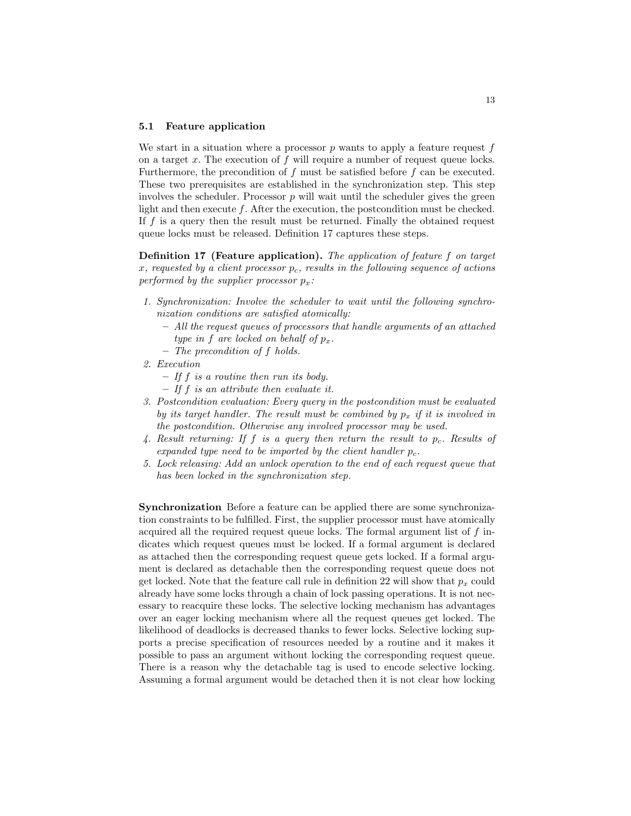#### 5.1 Feature application

We start in a situation where a processor  $p$  wants to apply a feature request  $f$ on a target x. The execution of f will require a number of request queue locks. Furthermore, the precondition of f must be satisfied before f can be executed. These two prerequisites are established in the synchronization step. This step involves the scheduler. Processor  $p$  will wait until the scheduler gives the green light and then execute f. After the execution, the postcondition must be checked. If  $f$  is a query then the result must be returned. Finally the obtained request queue locks must be released. Definition 17 captures these steps.

Definition 17 (Feature application). The application of feature f on target x, requested by a client processor  $p_c$ , results in the following sequence of actions performed by the supplier processor  $p_x$ :

- 1. Synchronization: Involve the scheduler to wait until the following synchronization conditions are satisfied atomically:
	- All the request queues of processors that handle arguments of an attached type in f are locked on behalf of  $p_x$ .
	- The precondition of f holds.
- 2. Execution
	- $-$  If f is a routine then run its body.
	- If f is an attribute then evaluate it.
- 3. Postcondition evaluation: Every query in the postcondition must be evaluated by its target handler. The result must be combined by  $p_x$  if it is involved in the postcondition. Otherwise any involved processor may be used.
- 4. Result returning: If f is a query then return the result to  $p_c$ . Results of expanded type need to be imported by the client handler  $p_c$ .
- 5. Lock releasing: Add an unlock operation to the end of each request queue that has been locked in the synchronization step.

Synchronization Before a feature can be applied there are some synchronization constraints to be fulfilled. First, the supplier processor must have atomically acquired all the required request queue locks. The formal argument list of  $f$  indicates which request queues must be locked. If a formal argument is declared as attached then the corresponding request queue gets locked. If a formal argument is declared as detachable then the corresponding request queue does not get locked. Note that the feature call rule in definition 22 will show that  $p_x$  could already have some locks through a chain of lock passing operations. It is not necessary to reacquire these locks. The selective locking mechanism has advantages over an eager locking mechanism where all the request queues get locked. The likelihood of deadlocks is decreased thanks to fewer locks. Selective locking supports a precise specification of resources needed by a routine and it makes it possible to pass an argument without locking the corresponding request queue. There is a reason why the detachable tag is used to encode selective locking. Assuming a formal argument would be detached then it is not clear how locking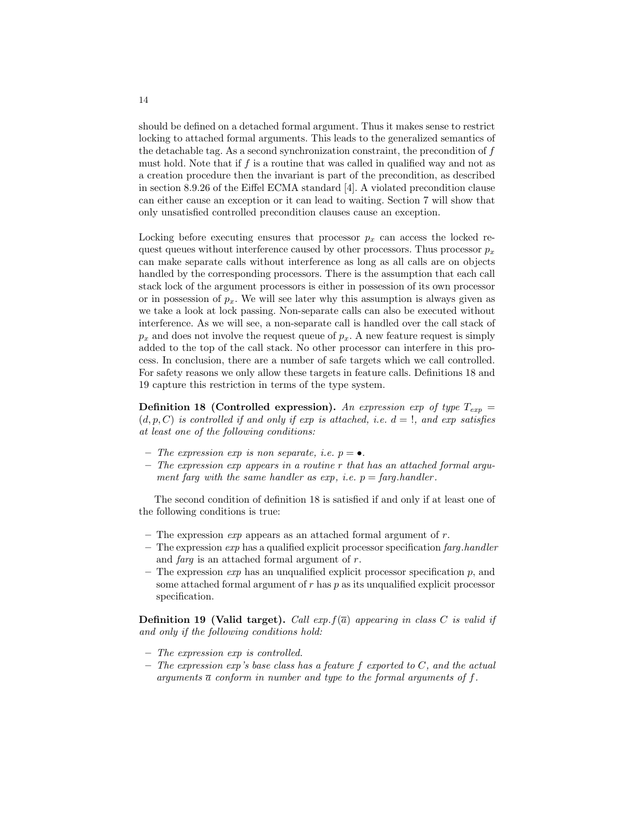should be defined on a detached formal argument. Thus it makes sense to restrict locking to attached formal arguments. This leads to the generalized semantics of the detachable tag. As a second synchronization constraint, the precondition of  $f$ must hold. Note that if  $f$  is a routine that was called in qualified way and not as a creation procedure then the invariant is part of the precondition, as described in section 8.9.26 of the Eiffel ECMA standard [4]. A violated precondition clause can either cause an exception or it can lead to waiting. Section 7 will show that only unsatisfied controlled precondition clauses cause an exception.

Locking before executing ensures that processor  $p_x$  can access the locked request queues without interference caused by other processors. Thus processor  $p_x$ can make separate calls without interference as long as all calls are on objects handled by the corresponding processors. There is the assumption that each call stack lock of the argument processors is either in possession of its own processor or in possession of  $p_x$ . We will see later why this assumption is always given as we take a look at lock passing. Non-separate calls can also be executed without interference. As we will see, a non-separate call is handled over the call stack of  $p_x$  and does not involve the request queue of  $p_x$ . A new feature request is simply added to the top of the call stack. No other processor can interfere in this process. In conclusion, there are a number of safe targets which we call controlled. For safety reasons we only allow these targets in feature calls. Definitions 18 and 19 capture this restriction in terms of the type system.

**Definition 18 (Controlled expression).** An expression exp of type  $T_{exp}$  =  $(d, p, C)$  is controlled if and only if exp is attached, i.e.  $d = !$ , and exp satisfies at least one of the following conditions:

- The expression exp is non separate, i.e.  $p = \bullet$ .
- The expression exp appears in a routine r that has an attached formal argument farg with the same handler as  $exp$ , *i.e.*  $p = \frac{farg.hand}{er}$ .

The second condition of definition 18 is satisfied if and only if at least one of the following conditions is true:

- The expression  $exp$  appears as an attached formal argument of r.
- The expression  $exp$  has a qualified explicit processor specification farg.handler and  $farg$  is an attached formal argument of  $r$ .
- The expression  $exp$  has an unqualified explicit processor specification  $p$ , and some attached formal argument of  $r$  has  $p$  as its unqualified explicit processor specification.

**Definition 19 (Valid target).** Call exp.  $f(\overline{a})$  appearing in class C is valid if and only if the following conditions hold:

- The expression exp is controlled.
- $-$  The expression exp's base class has a feature f exported to C, and the actual arguments  $\overline{a}$  conform in number and type to the formal arguments of f.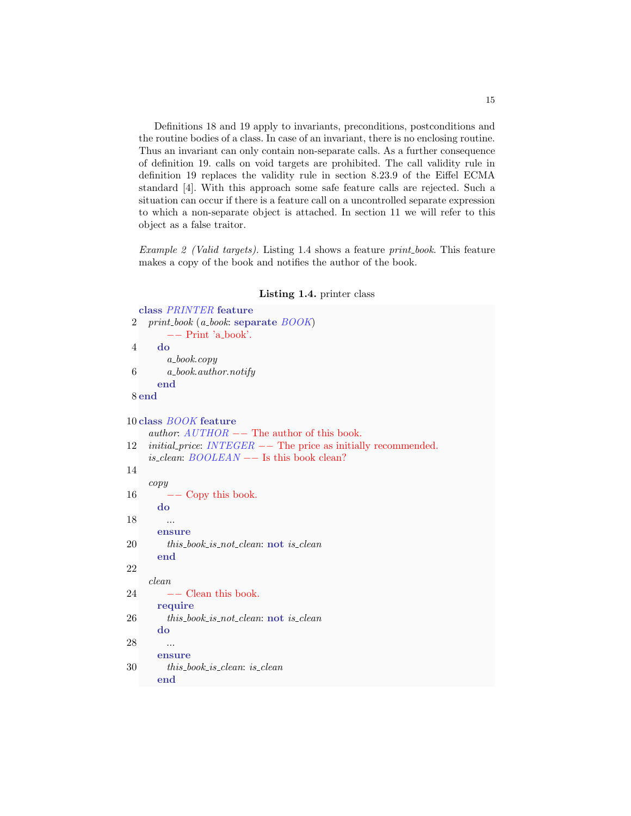Definitions 18 and 19 apply to invariants, preconditions, postconditions and the routine bodies of a class. In case of an invariant, there is no enclosing routine. Thus an invariant can only contain non-separate calls. As a further consequence of definition 19. calls on void targets are prohibited. The call validity rule in definition 19 replaces the validity rule in section 8.23.9 of the Eiffel ECMA standard [4]. With this approach some safe feature calls are rejected. Such a situation can occur if there is a feature call on a uncontrolled separate expression to which a non-separate object is attached. In section 11 we will refer to this object as a false traitor.

Example 2 (Valid targets). Listing 1.4 shows a feature *print book*. This feature makes a copy of the book and notifies the author of the book.

### Listing 1.4. printer class

```
class PRINTER feature
2 print book (a book: separate BOOK)
        −− Print 'a book'.
 4 do
        a book.copy
6 a book.author.notify
      end
8 end
10 class BOOK feature
    author: AUTHOR -- The author of this book.
12 initial_price: INTEGER −− The price as initially recommended.
    is_clean: BOOLEAN -- Is this book clean?
14
    copy
16 \qquad -- \text{Copy this book.}do
18 ...
      ensure
20 this book is not clean: not is clean
      end
22
    clean
24 - Clean this book.
      require
26 this_book_is_not_clean: not is_clean
      do
28 ...
      ensure
30 this book is clean: is clean
      end
```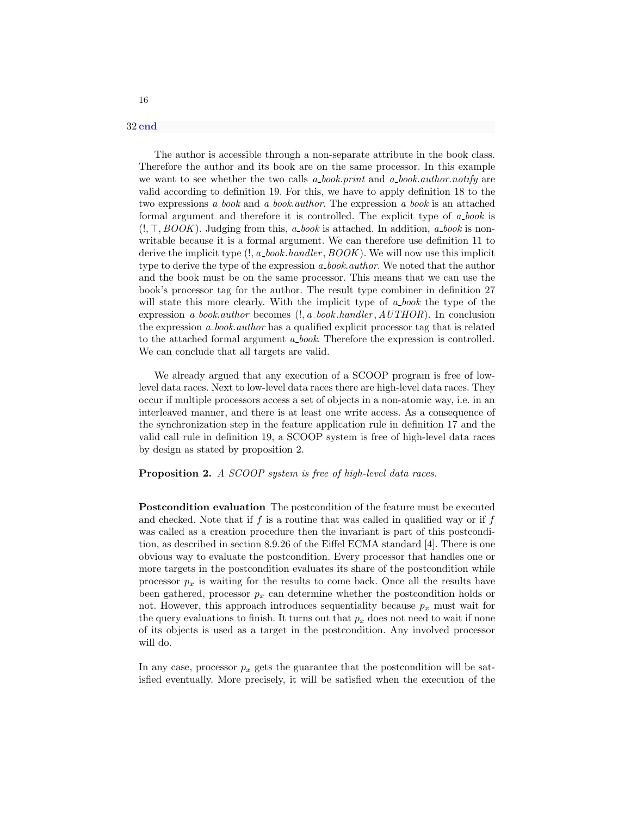#### 32 end

The author is accessible through a non-separate attribute in the book class. Therefore the author and its book are on the same processor. In this example we want to see whether the two calls  $a_{\text{-}} \text{book}$  and  $a_{\text{-}} \text{book}$  author.notify are valid according to definition 19. For this, we have to apply definition 18 to the two expressions a *book* and a *book.author*. The expression a *book* is an attached formal argument and therefore it is controlled. The explicit type of a book is  $(!, \top, BOOK)$ . Judging from this, a book is attached. In addition, a book is nonwritable because it is a formal argument. We can therefore use definition 11 to derive the implicit type  $(!, a_{\textit{-book} }. \textit{handler}, \textit{BOOK}).$  We will now use this implicit type to derive the type of the expression a *book.author*. We noted that the author and the book must be on the same processor. This means that we can use the book's processor tag for the author. The result type combiner in definition 27 will state this more clearly. With the implicit type of  $a_{\text{-}}$  book the type of the expression a book.author becomes  $(!, a \text{-}book.handler, AUTHOR)$ . In conclusion the expression a book.author has a qualified explicit processor tag that is related to the attached formal argument a book. Therefore the expression is controlled. We can conclude that all targets are valid.

We already argued that any execution of a SCOOP program is free of lowlevel data races. Next to low-level data races there are high-level data races. They occur if multiple processors access a set of objects in a non-atomic way, i.e. in an interleaved manner, and there is at least one write access. As a consequence of the synchronization step in the feature application rule in definition 17 and the valid call rule in definition 19, a SCOOP system is free of high-level data races by design as stated by proposition 2.

#### Proposition 2. A SCOOP system is free of high-level data races.

Postcondition evaluation The postcondition of the feature must be executed and checked. Note that if f is a routine that was called in qualified way or if  $f$ was called as a creation procedure then the invariant is part of this postcondition, as described in section 8.9.26 of the Eiffel ECMA standard [4]. There is one obvious way to evaluate the postcondition. Every processor that handles one or more targets in the postcondition evaluates its share of the postcondition while processor  $p_x$  is waiting for the results to come back. Once all the results have been gathered, processor  $p_x$  can determine whether the postcondition holds or not. However, this approach introduces sequentiality because  $p_x$  must wait for the query evaluations to finish. It turns out that  $p_x$  does not need to wait if none of its objects is used as a target in the postcondition. Any involved processor will do.

In any case, processor  $p_x$  gets the guarantee that the postcondition will be satisfied eventually. More precisely, it will be satisfied when the execution of the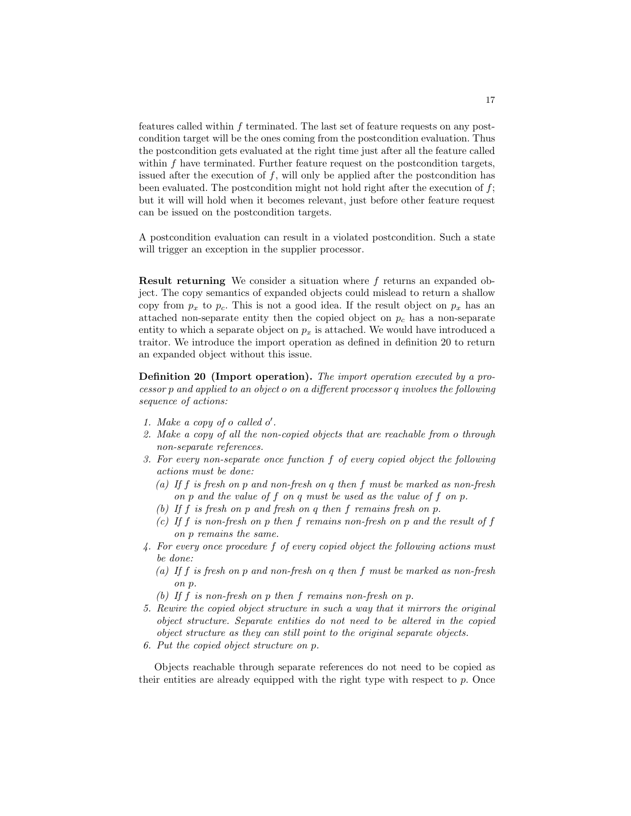features called within f terminated. The last set of feature requests on any postcondition target will be the ones coming from the postcondition evaluation. Thus the postcondition gets evaluated at the right time just after all the feature called within  $f$  have terminated. Further feature request on the postcondition targets, issued after the execution of  $f$ , will only be applied after the postcondition has been evaluated. The postcondition might not hold right after the execution of  $f$ ; but it will will hold when it becomes relevant, just before other feature request can be issued on the postcondition targets.

A postcondition evaluation can result in a violated postcondition. Such a state will trigger an exception in the supplier processor.

Result returning We consider a situation where f returns an expanded object. The copy semantics of expanded objects could mislead to return a shallow copy from  $p_x$  to  $p_c$ . This is not a good idea. If the result object on  $p_x$  has an attached non-separate entity then the copied object on  $p_c$  has a non-separate entity to which a separate object on  $p_x$  is attached. We would have introduced a traitor. We introduce the import operation as defined in definition 20 to return an expanded object without this issue.

Definition 20 (Import operation). The import operation executed by a processor p and applied to an object o on a different processor q involves the following sequence of actions:

- 1. Make a copy of  $o$  called  $o'$ .
- 2. Make a copy of all the non-copied objects that are reachable from o through non-separate references.
- 3. For every non-separate once function f of every copied object the following actions must be done:
	- (a) If f is fresh on  $p$  and non-fresh on  $q$  then  $f$  must be marked as non-fresh on p and the value of f on q must be used as the value of f on p.
	- (b) If  $f$  is fresh on  $p$  and fresh on  $q$  then  $f$  remains fresh on  $p$ .
	- (c) If f is non-fresh on p then f remains non-fresh on p and the result of f on p remains the same.
- 4. For every once procedure f of every copied object the following actions must be done:
	- (a) If f is fresh on  $p$  and non-fresh on  $q$  then  $f$  must be marked as non-fresh on p.
	- (b) If f is non-fresh on p then f remains non-fresh on p.
- 5. Rewire the copied object structure in such a way that it mirrors the original object structure. Separate entities do not need to be altered in the copied object structure as they can still point to the original separate objects.
- 6. Put the copied object structure on p.

Objects reachable through separate references do not need to be copied as their entities are already equipped with the right type with respect to  $p$ . Once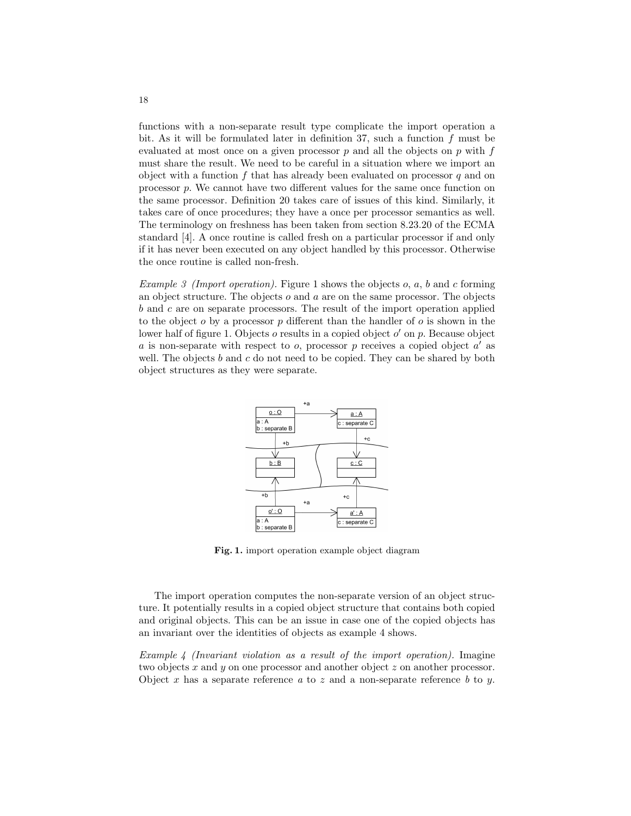functions with a non-separate result type complicate the import operation a bit. As it will be formulated later in definition 37, such a function  $f$  must be evaluated at most once on a given processor  $p$  and all the objects on  $p$  with  $f$ must share the result. We need to be careful in a situation where we import an object with a function  $f$  that has already been evaluated on processor  $q$  and on processor p. We cannot have two different values for the same once function on the same processor. Definition 20 takes care of issues of this kind. Similarly, it takes care of once procedures; they have a once per processor semantics as well. The terminology on freshness has been taken from section 8.23.20 of the ECMA standard [4]. A once routine is called fresh on a particular processor if and only if it has never been executed on any object handled by this processor. Otherwise the once routine is called non-fresh.

*Example 3 (Import operation)*. Figure 1 shows the objects  $o$ ,  $a$ ,  $b$  and  $c$  forming an object structure. The objects  $o$  and  $a$  are on the same processor. The objects b and c are on separate processors. The result of the import operation applied to the object  $o$  by a processor p different than the handler of  $o$  is shown in the lower half of figure 1. Objects  $o$  results in a copied object  $o'$  on  $p$ . Because object a is non-separate with respect to  $o$ , processor  $p$  receives a copied object  $a'$  as well. The objects  $b$  and  $c$  do not need to be copied. They can be shared by both object structures as they were separate.



Fig. 1. import operation example object diagram

The import operation computes the non-separate version of an object structure. It potentially results in a copied object structure that contains both copied and original objects. This can be an issue in case one of the copied objects has an invariant over the identities of objects as example 4 shows.

Example 4 (Invariant violation as a result of the import operation). Imagine two objects x and y on one processor and another object z on another processor. Object x has a separate reference a to z and a non-separate reference b to y.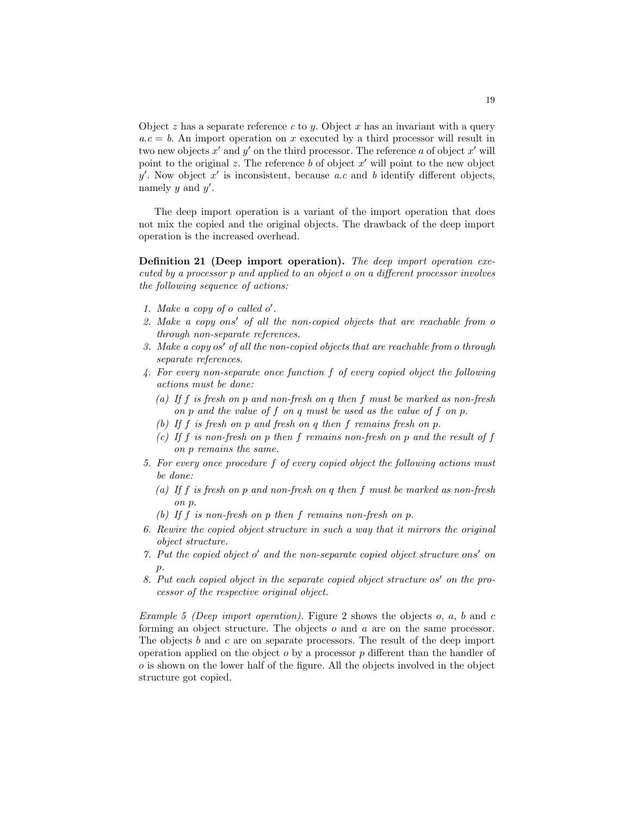Object z has a separate reference c to y. Object x has an invariant with a query  $a.c = b$ . An import operation on x executed by a third processor will result in two new objects  $x'$  and  $y'$  on the third processor. The reference a of object  $x'$  will point to the original z. The reference  $b$  of object  $x'$  will point to the new object y'. Now object  $x'$  is inconsistent, because a.c and b identify different objects, namely  $y$  and  $y'$ .

The deep import operation is a variant of the import operation that does not mix the copied and the original objects. The drawback of the deep import operation is the increased overhead.

Definition 21 (Deep import operation). The deep import operation executed by a processor p and applied to an object o on a different processor involves the following sequence of actions:

- 1. Make a copy of  $o$  called  $o'$ .
- 2. Make a copy ons' of all the non-copied objects that are reachable from  $o$ through non-separate references.
- 3. Make a copy os' of all the non-copied objects that are reachable from o through separate references.
- 4. For every non-separate once function f of every copied object the following actions must be done:
	- (a) If f is fresh on p and non-fresh on q then f must be marked as non-fresh on  $p$  and the value of  $f$  on  $q$  must be used as the value of  $f$  on  $p$ .
	- (b) If f is fresh on p and fresh on q then f remains fresh on p.
	- (c) If f is non-fresh on p then f remains non-fresh on p and the result of f on p remains the same.
- 5. For every once procedure f of every copied object the following actions must be done:
	- (a) If f is fresh on p and non-fresh on q then f must be marked as non-fresh on p.
	- (b) If f is non-fresh on p then f remains non-fresh on p.
- 6. Rewire the copied object structure in such a way that it mirrors the original object structure.
- 7. Put the copied object  $o'$  and the non-separate copied object structure ons' on  $p$ .
- 8. Put each copied object in the separate copied object structure os' on the processor of the respective original object.

*Example 5 (Deep import operation)*. Figure 2 shows the objects  $o$ ,  $a$ ,  $b$  and  $c$ forming an object structure. The objects o and a are on the same processor. The objects  $b$  and  $c$  are on separate processors. The result of the deep import operation applied on the object  $o$  by a processor  $p$  different than the handler of  $\sigma$  is shown on the lower half of the figure. All the objects involved in the object structure got copied.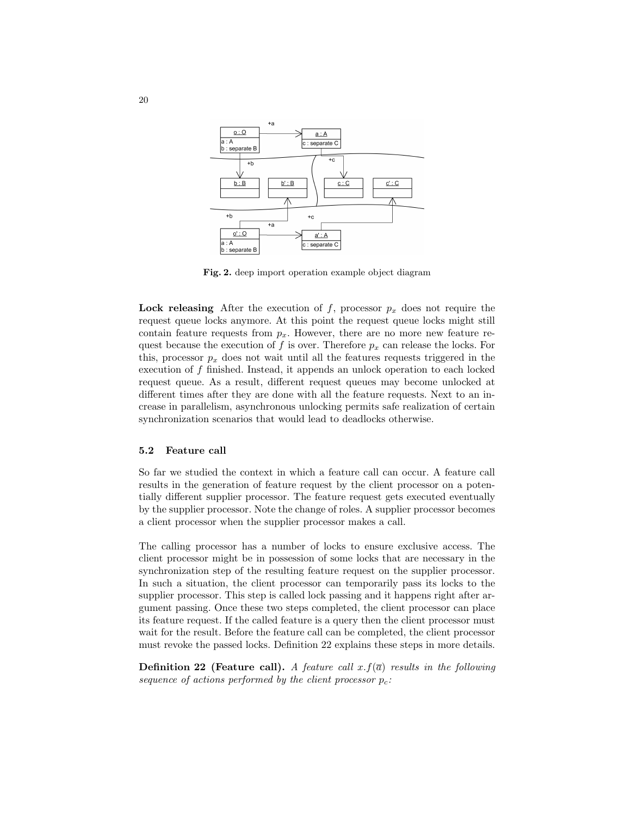

Fig. 2. deep import operation example object diagram

**Lock releasing** After the execution of f, processor  $p_x$  does not require the request queue locks anymore. At this point the request queue locks might still contain feature requests from  $p_x$ . However, there are no more new feature request because the execution of f is over. Therefore  $p_x$  can release the locks. For this, processor  $p_x$  does not wait until all the features requests triggered in the execution of f finished. Instead, it appends an unlock operation to each locked request queue. As a result, different request queues may become unlocked at different times after they are done with all the feature requests. Next to an increase in parallelism, asynchronous unlocking permits safe realization of certain synchronization scenarios that would lead to deadlocks otherwise.

#### 5.2 Feature call

So far we studied the context in which a feature call can occur. A feature call results in the generation of feature request by the client processor on a potentially different supplier processor. The feature request gets executed eventually by the supplier processor. Note the change of roles. A supplier processor becomes a client processor when the supplier processor makes a call.

The calling processor has a number of locks to ensure exclusive access. The client processor might be in possession of some locks that are necessary in the synchronization step of the resulting feature request on the supplier processor. In such a situation, the client processor can temporarily pass its locks to the supplier processor. This step is called lock passing and it happens right after argument passing. Once these two steps completed, the client processor can place its feature request. If the called feature is a query then the client processor must wait for the result. Before the feature call can be completed, the client processor must revoke the passed locks. Definition 22 explains these steps in more details.

**Definition 22 (Feature call).** A feature call  $x.f(\overline{a})$  results in the following sequence of actions performed by the client processor  $p_c$ :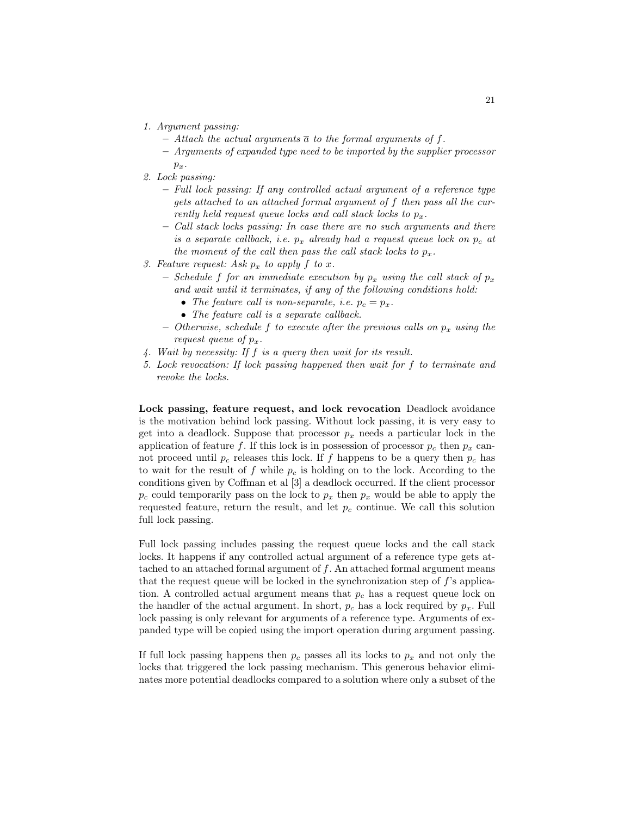- 1. Argument passing:
	- Attach the actual arguments  $\overline{a}$  to the formal arguments of f.
	- Arguments of expanded type need to be imported by the supplier processor  $p_x$ .
- 2. Lock passing:
	- Full lock passing: If any controlled actual argument of a reference type gets attached to an attached formal argument of f then pass all the currently held request queue locks and call stack locks to  $p_x$ .
	- Call stack locks passing: In case there are no such arguments and there is a separate callback, i.e.  $p_x$  already had a request queue lock on  $p_c$  at the moment of the call then pass the call stack locks to  $p_x$ .
- 3. Feature request: Ask  $p_x$  to apply f to x.
	- Schedule f for an immediate execution by  $p_x$  using the call stack of  $p_x$ and wait until it terminates, if any of the following conditions hold:
		- The feature call is non-separate, i.e.  $p_c = p_x$ .
		- The feature call is a separate callback.
	- Otherwise, schedule  $f$  to execute after the previous calls on  $p_x$  using the request queue of  $p_x$ .
- 4. Wait by necessity: If f is a query then wait for its result.
- 5. Lock revocation: If lock passing happened then wait for f to terminate and revoke the locks.

Lock passing, feature request, and lock revocation Deadlock avoidance is the motivation behind lock passing. Without lock passing, it is very easy to get into a deadlock. Suppose that processor  $p_x$  needs a particular lock in the application of feature f. If this lock is in possession of processor  $p_c$  then  $p_x$  cannot proceed until  $p_c$  releases this lock. If f happens to be a query then  $p_c$  has to wait for the result of f while  $p_c$  is holding on to the lock. According to the conditions given by Coffman et al [3] a deadlock occurred. If the client processor  $p_c$  could temporarily pass on the lock to  $p_x$  then  $p_x$  would be able to apply the requested feature, return the result, and let  $p_c$  continue. We call this solution full lock passing.

Full lock passing includes passing the request queue locks and the call stack locks. It happens if any controlled actual argument of a reference type gets attached to an attached formal argument of f. An attached formal argument means that the request queue will be locked in the synchronization step of  $f$ 's application. A controlled actual argument means that  $p_c$  has a request queue lock on the handler of the actual argument. In short,  $p_c$  has a lock required by  $p_x$ . Full lock passing is only relevant for arguments of a reference type. Arguments of expanded type will be copied using the import operation during argument passing.

If full lock passing happens then  $p_c$  passes all its locks to  $p_x$  and not only the locks that triggered the lock passing mechanism. This generous behavior eliminates more potential deadlocks compared to a solution where only a subset of the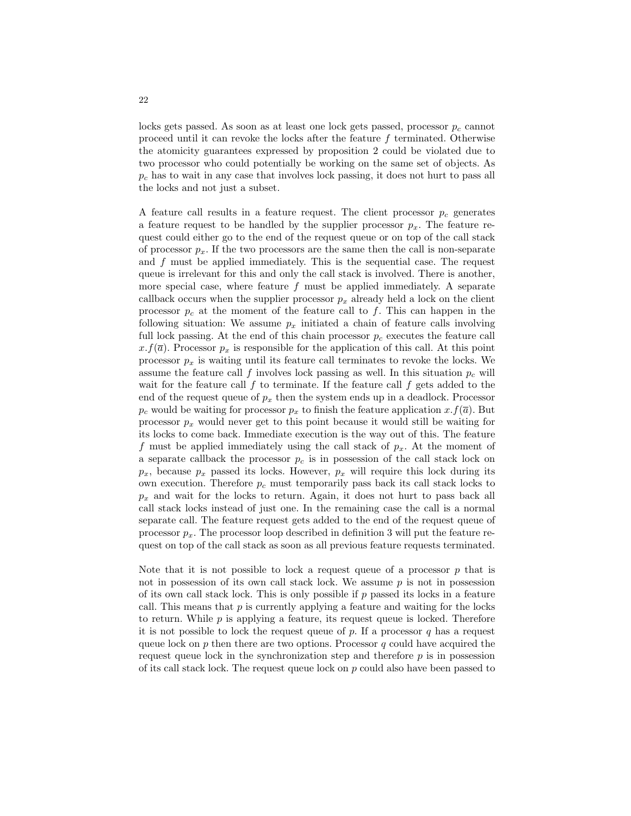locks gets passed. As soon as at least one lock gets passed, processor  $p_c$  cannot proceed until it can revoke the locks after the feature f terminated. Otherwise the atomicity guarantees expressed by proposition 2 could be violated due to two processor who could potentially be working on the same set of objects. As  $p<sub>c</sub>$  has to wait in any case that involves lock passing, it does not hurt to pass all the locks and not just a subset.

A feature call results in a feature request. The client processor  $p_c$  generates a feature request to be handled by the supplier processor  $p_x$ . The feature request could either go to the end of the request queue or on top of the call stack of processor  $p_x$ . If the two processors are the same then the call is non-separate and  $f$  must be applied immediately. This is the sequential case. The request queue is irrelevant for this and only the call stack is involved. There is another, more special case, where feature  $f$  must be applied immediately. A separate callback occurs when the supplier processor  $p_x$  already held a lock on the client processor  $p_c$  at the moment of the feature call to f. This can happen in the following situation: We assume  $p_x$  initiated a chain of feature calls involving full lock passing. At the end of this chain processor  $p_c$  executes the feature call  $x.f(\overline{a})$ . Processor  $p_x$  is responsible for the application of this call. At this point processor  $p_x$  is waiting until its feature call terminates to revoke the locks. We assume the feature call f involves lock passing as well. In this situation  $p_c$  will wait for the feature call  $f$  to terminate. If the feature call  $f$  gets added to the end of the request queue of  $p_x$  then the system ends up in a deadlock. Processor  $p_c$  would be waiting for processor  $p_x$  to finish the feature application  $x.f(\overline{a})$ . But processor  $p_x$  would never get to this point because it would still be waiting for its locks to come back. Immediate execution is the way out of this. The feature f must be applied immediately using the call stack of  $p_x$ . At the moment of a separate callback the processor  $p_c$  is in possession of the call stack lock on  $p_x$ , because  $p_x$  passed its locks. However,  $p_x$  will require this lock during its own execution. Therefore  $p_c$  must temporarily pass back its call stack locks to  $p_x$  and wait for the locks to return. Again, it does not hurt to pass back all call stack locks instead of just one. In the remaining case the call is a normal separate call. The feature request gets added to the end of the request queue of processor  $p_x$ . The processor loop described in definition 3 will put the feature request on top of the call stack as soon as all previous feature requests terminated.

Note that it is not possible to lock a request queue of a processor  $p$  that is not in possession of its own call stack lock. We assume  $p$  is not in possession of its own call stack lock. This is only possible if  $p$  passed its locks in a feature call. This means that  $p$  is currently applying a feature and waiting for the locks to return. While  $p$  is applying a feature, its request queue is locked. Therefore it is not possible to lock the request queue of p. If a processor q has a request queue lock on  $p$  then there are two options. Processor  $q$  could have acquired the request queue lock in the synchronization step and therefore  $p$  is in possession of its call stack lock. The request queue lock on  $p$  could also have been passed to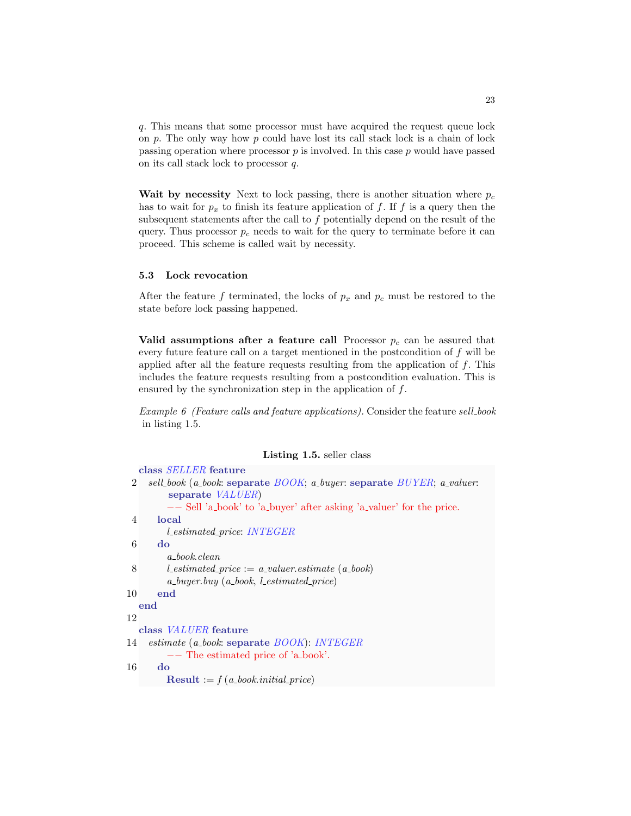q. This means that some processor must have acquired the request queue lock on  $p$ . The only way how  $p$  could have lost its call stack lock is a chain of lock passing operation where processor  $p$  is involved. In this case  $p$  would have passed on its call stack lock to processor q.

Wait by necessity Next to lock passing, there is another situation where  $p_c$ has to wait for  $p_x$  to finish its feature application of f. If f is a query then the subsequent statements after the call to  $f$  potentially depend on the result of the query. Thus processor  $p_c$  needs to wait for the query to terminate before it can proceed. This scheme is called wait by necessity.

#### 5.3 Lock revocation

After the feature f terminated, the locks of  $p_x$  and  $p_c$  must be restored to the state before lock passing happened.

Valid assumptions after a feature call Processor  $p_c$  can be assured that every future feature call on a target mentioned in the postcondition of f will be applied after all the feature requests resulting from the application of  $f$ . This includes the feature requests resulting from a postcondition evaluation. This is ensured by the synchronization step in the application of f.

Example 6 (Feature calls and feature applications). Consider the feature sell book in listing 1.5.

|  |  |  |  | Listing 1.5. seller class |  |
|--|--|--|--|---------------------------|--|
|--|--|--|--|---------------------------|--|

```
class SELLER feature
2 sell book (a book: separate BOOK; a buyer: separate BUYER; a valuer:
       separate VALUER)
       −− Sell 'a book' to 'a buyer' after asking 'a valuer' for the price.
4 local
       l estimated price: INTEGER
6 do
       a book.clean
8 l estimated price := a\_value restimate (a\_book)a_buyer.buy (a_book, l_eestimated\_price)
10 end
  end
12
  class VALUER feature
14 estimate (a book: separate BOOK): INTEGER
       −− The estimated price of 'a book'.
16 do
```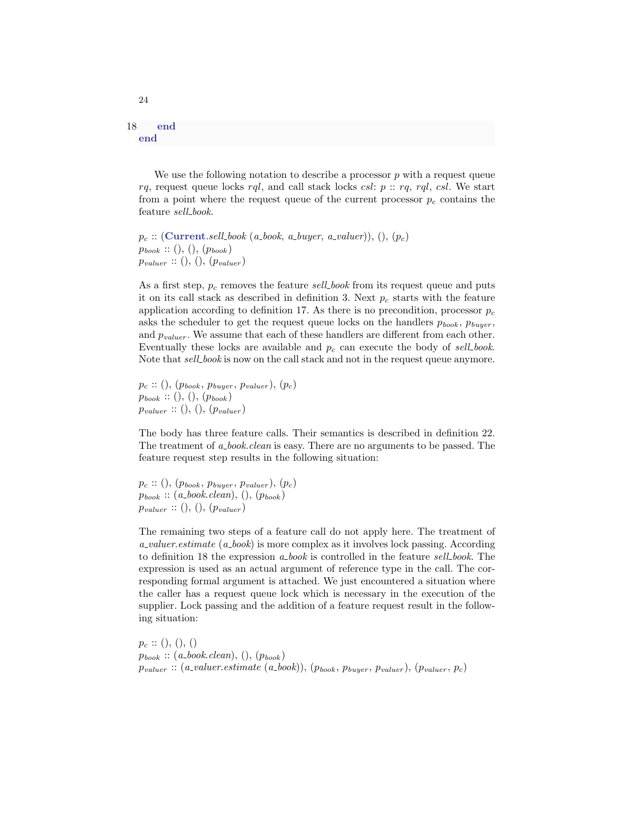### 18 end end

We use the following notation to describe a processor  $p$  with a request queue  $rq$ , request queue locks rql, and call stack locks csl: p :: rq, rql, csl. We start from a point where the request queue of the current processor  $p_c$  contains the feature sell book.

 $p_c$  :: (Current.sell\_book (a\_book, a\_buyer, a\_valuer)), (),  $(p_c)$  $p_{book} :: (), (), (p_{book})$  $p_{valuer}$  :: (), (), ( $p_{valuer}$ )

As a first step,  $p_c$  removes the feature sell-book from its request queue and puts it on its call stack as described in definition 3. Next  $p_c$  starts with the feature application according to definition 17. As there is no precondition, processor  $p_c$ asks the scheduler to get the request queue locks on the handlers  $p_{book}$ ,  $p_{lower}$ , and  $p_{valuer}$ . We assume that each of these handlers are different from each other. Eventually these locks are available and  $p_c$  can execute the body of sell book. Note that *sell* book is now on the call stack and not in the request queue anymore.

 $p_c$  :: (), ( $p_{book}, p_{buyer}, p_{valuer}$ ), ( $p_c$ )  $p_{book} :: (), (), (p_{book})$  $p_{valuer}$  :: (), (), ( $p_{valuer}$ )

The body has three feature calls. Their semantics is described in definition 22. The treatment of a *book.clean* is easy. There are no arguments to be passed. The feature request step results in the following situation:

 $p_c$ :: (), ( $p_{book}$ ,  $p_{buser}$ ,  $p_{valuer}$ ), ( $p_c$ )  $p_{book} :: (a\_book.clean), (), (p_{book})$  $p_{valuer}::(),(),(p_{valuer})$ 

The remaining two steps of a feature call do not apply here. The treatment of  $a\_valler. estimate (a\_book)$  is more complex as it involves lock passing. According to definition 18 the expression a book is controlled in the feature sell book. The expression is used as an actual argument of reference type in the call. The corresponding formal argument is attached. We just encountered a situation where the caller has a request queue lock which is necessary in the execution of the supplier. Lock passing and the addition of a feature request result in the following situation:

 $p_c :: () , () , ()$  $p_{book} :: (a\_book.clean), (), (p_{book})$  $p_{valuer}$  :: (a\_valuer.estimate (a\_book)), ( $p_{book}$ ,  $p_{buyer}$ ,  $p_{valuer}$ ), ( $p_{valuer}$ ,  $p_c$ )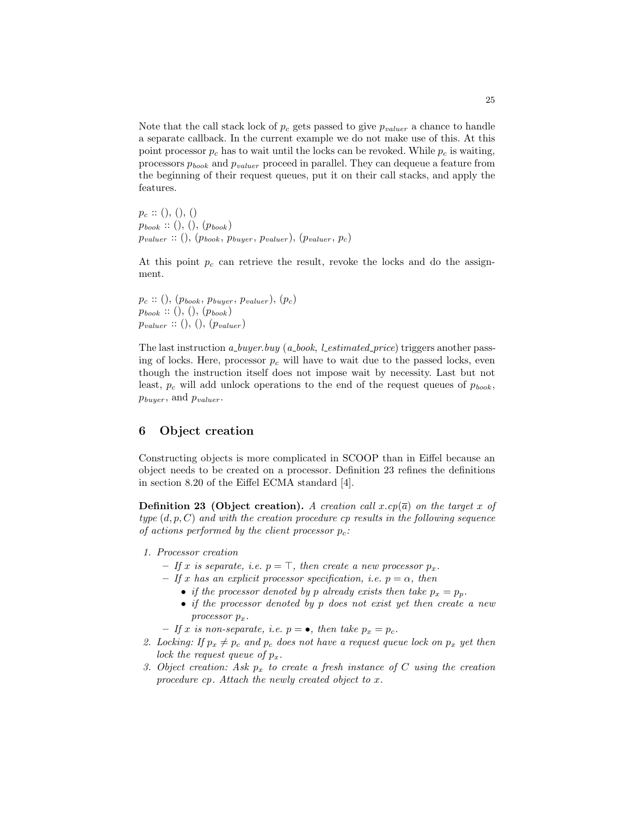Note that the call stack lock of  $p_c$  gets passed to give  $p_{value}$  a chance to handle a separate callback. In the current example we do not make use of this. At this point processor  $p_c$  has to wait until the locks can be revoked. While  $p_c$  is waiting, processors  $p_{book}$  and  $p_{valuer}$  proceed in parallel. They can dequeue a feature from the beginning of their request queues, put it on their call stacks, and apply the features.

 $p_c :: ()$ , (), ()  $p_{book} :: (), (), (p_{book})$  $p_{valuer} :: (), (p_{book}, p_{buyer}, p_{valuer}), (p_{valuer}, p_c)$ 

At this point  $p_c$  can retrieve the result, revoke the locks and do the assignment.

 $p_c$  :: (), ( $p_{book}$ ,  $p_{buyer}$ ,  $p_{valuer}$ ), ( $p_c$ )  $p_{book} :: (), (), (p_{book})$  $p_{valuer} :: (), (), (p_{valuer})$ 

The last instruction a buyer buy (a book, l estimated price) triggers another passing of locks. Here, processor  $p_c$  will have to wait due to the passed locks, even though the instruction itself does not impose wait by necessity. Last but not least,  $p_c$  will add unlock operations to the end of the request queues of  $p_{book}$ ,  $p_{buyer}$ , and  $p_{valuer}$ .

# 6 Object creation

Constructing objects is more complicated in SCOOP than in Eiffel because an object needs to be created on a processor. Definition 23 refines the definitions in section 8.20 of the Eiffel ECMA standard [4].

**Definition 23 (Object creation).** A creation call  $x$ .cp( $\overline{a}$ ) on the target x of type  $(d, p, C)$  and with the creation procedure cp results in the following sequence of actions performed by the client processor  $p_c$ :

- 1. Processor creation
	- If x is separate, i.e.  $p = \top$ , then create a new processor  $p_x$ .
	- If x has an explicit processor specification, i.e.  $p = \alpha$ , then
		- if the processor denoted by p already exists then take  $p_x = p_p$ .
		- if the processor denoted by p does not exist yet then create a new processor px.

– If x is non-separate, i.e.  $p = \bullet$ , then take  $p_x = p_c$ .

- 2. Locking: If  $p_x \neq p_c$  and  $p_c$  does not have a request queue lock on  $p_x$  yet then lock the request queue of  $p_x$ .
- 3. Object creation: Ask  $p_x$  to create a fresh instance of C using the creation procedure cp. Attach the newly created object to x.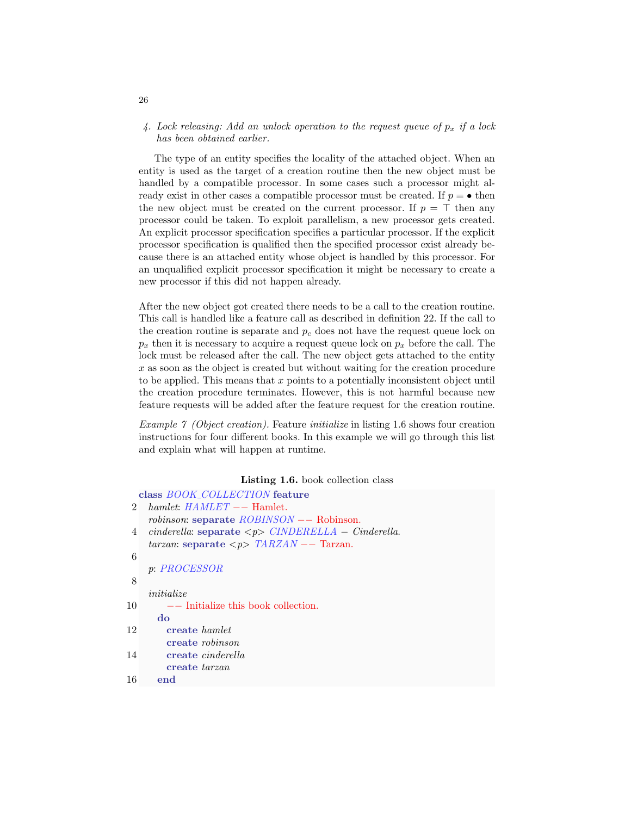4. Lock releasing: Add an unlock operation to the request queue of  $p_x$  if a lock has been obtained earlier.

The type of an entity specifies the locality of the attached object. When an entity is used as the target of a creation routine then the new object must be handled by a compatible processor. In some cases such a processor might already exist in other cases a compatible processor must be created. If  $p = \bullet$  then the new object must be created on the current processor. If  $p = \top$  then any processor could be taken. To exploit parallelism, a new processor gets created. An explicit processor specification specifies a particular processor. If the explicit processor specification is qualified then the specified processor exist already because there is an attached entity whose object is handled by this processor. For an unqualified explicit processor specification it might be necessary to create a new processor if this did not happen already.

After the new object got created there needs to be a call to the creation routine. This call is handled like a feature call as described in definition 22. If the call to the creation routine is separate and  $p_c$  does not have the request queue lock on  $p_x$  then it is necessary to acquire a request queue lock on  $p_x$  before the call. The lock must be released after the call. The new object gets attached to the entity  $x$  as soon as the object is created but without waiting for the creation procedure to be applied. This means that  $x$  points to a potentially inconsistent object until the creation procedure terminates. However, this is not harmful because new feature requests will be added after the feature request for the creation routine.

Example 7 (Object creation). Feature initialize in listing 1.6 shows four creation instructions for four different books. In this example we will go through this list and explain what will happen at runtime.

### Listing 1.6. book collection class

|               | class BOOK_COLLECTION feature                                     |
|---------------|-------------------------------------------------------------------|
| $\mathcal{D}$ | $hamlet: HAMLET -- Hamlet.$                                       |
|               | <i>robinson</i> : separate $ROBINSON$ — Robinson.                 |
| 4             | cinderella: separate $\langle p \rangle$ CINDERELLA - Cinderella. |
|               | <i>tarzan</i> : separate $\langle p \rangle$ TARZAN -- Tarzan.    |
| 6             |                                                                   |
|               | <i>p</i> : <i>PROCESSOR</i>                                       |
| 8             |                                                                   |
|               | initialize                                                        |
| 10            | $--$ Initialize this book collection.                             |
|               | $d\mathbf{o}$                                                     |
| 12            | create <i>hamlet</i>                                              |
|               | create robinson                                                   |
| 14            | create <i>cinderella</i>                                          |
|               | create <i>tarzan</i>                                              |
| 16            | end                                                               |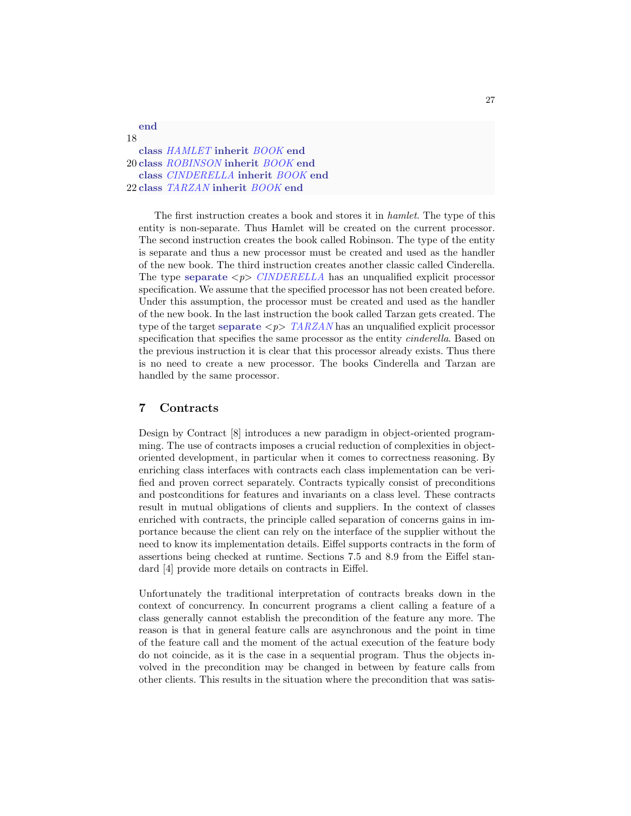class HAMLET inherit BOOK end 20 class ROBINSON inherit BOOK end class CINDERELLA inherit BOOK end 22 class TARZAN inherit BOOK end

The first instruction creates a book and stores it in hamlet. The type of this entity is non-separate. Thus Hamlet will be created on the current processor. The second instruction creates the book called Robinson. The type of the entity is separate and thus a new processor must be created and used as the handler of the new book. The third instruction creates another classic called Cinderella. The type separate  $\langle p \rangle$  CINDERELLA has an unqualified explicit processor specification. We assume that the specified processor has not been created before. Under this assumption, the processor must be created and used as the handler of the new book. In the last instruction the book called Tarzan gets created. The type of the target separate  $\langle p \rangle$  TARZAN has an unqualified explicit processor specification that specifies the same processor as the entity *cinderella*. Based on the previous instruction it is clear that this processor already exists. Thus there is no need to create a new processor. The books Cinderella and Tarzan are handled by the same processor.

# 7 Contracts

end 18

> Design by Contract [8] introduces a new paradigm in object-oriented programming. The use of contracts imposes a crucial reduction of complexities in objectoriented development, in particular when it comes to correctness reasoning. By enriching class interfaces with contracts each class implementation can be verified and proven correct separately. Contracts typically consist of preconditions and postconditions for features and invariants on a class level. These contracts result in mutual obligations of clients and suppliers. In the context of classes enriched with contracts, the principle called separation of concerns gains in importance because the client can rely on the interface of the supplier without the need to know its implementation details. Eiffel supports contracts in the form of assertions being checked at runtime. Sections 7.5 and 8.9 from the Eiffel standard [4] provide more details on contracts in Eiffel.

> Unfortunately the traditional interpretation of contracts breaks down in the context of concurrency. In concurrent programs a client calling a feature of a class generally cannot establish the precondition of the feature any more. The reason is that in general feature calls are asynchronous and the point in time of the feature call and the moment of the actual execution of the feature body do not coincide, as it is the case in a sequential program. Thus the objects involved in the precondition may be changed in between by feature calls from other clients. This results in the situation where the precondition that was satis-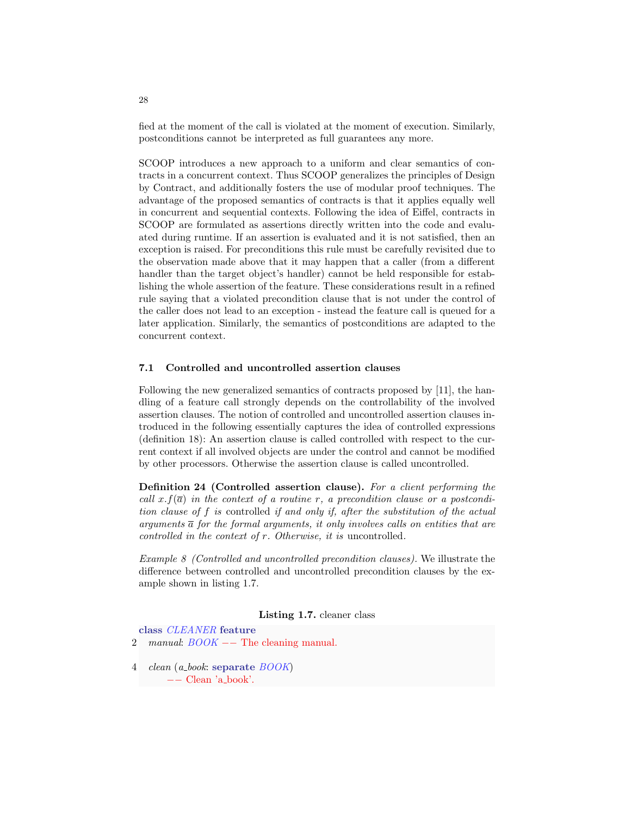fied at the moment of the call is violated at the moment of execution. Similarly, postconditions cannot be interpreted as full guarantees any more.

SCOOP introduces a new approach to a uniform and clear semantics of contracts in a concurrent context. Thus SCOOP generalizes the principles of Design by Contract, and additionally fosters the use of modular proof techniques. The advantage of the proposed semantics of contracts is that it applies equally well in concurrent and sequential contexts. Following the idea of Eiffel, contracts in SCOOP are formulated as assertions directly written into the code and evaluated during runtime. If an assertion is evaluated and it is not satisfied, then an exception is raised. For preconditions this rule must be carefully revisited due to the observation made above that it may happen that a caller (from a different handler than the target object's handler) cannot be held responsible for establishing the whole assertion of the feature. These considerations result in a refined rule saying that a violated precondition clause that is not under the control of the caller does not lead to an exception - instead the feature call is queued for a later application. Similarly, the semantics of postconditions are adapted to the concurrent context.

### 7.1 Controlled and uncontrolled assertion clauses

Following the new generalized semantics of contracts proposed by [11], the handling of a feature call strongly depends on the controllability of the involved assertion clauses. The notion of controlled and uncontrolled assertion clauses introduced in the following essentially captures the idea of controlled expressions (definition 18): An assertion clause is called controlled with respect to the current context if all involved objects are under the control and cannot be modified by other processors. Otherwise the assertion clause is called uncontrolled.

Definition 24 (Controlled assertion clause). For a client performing the call  $x.f(\overline{a})$  in the context of a routine r, a precondition clause or a postcondition clause of f is controlled if and only if, after the substitution of the actual arguments  $\bar{a}$  for the formal arguments, it only involves calls on entities that are controlled in the context of r. Otherwise, it is uncontrolled.

Example 8 (Controlled and uncontrolled precondition clauses). We illustrate the difference between controlled and uncontrolled precondition clauses by the example shown in listing 1.7.

#### Listing 1.7. cleaner class

class CLEANER feature

- 2 *manual: BOOK* −− The cleaning manual.
- 4 clean (a book: separate BOOK) −− Clean 'a book'.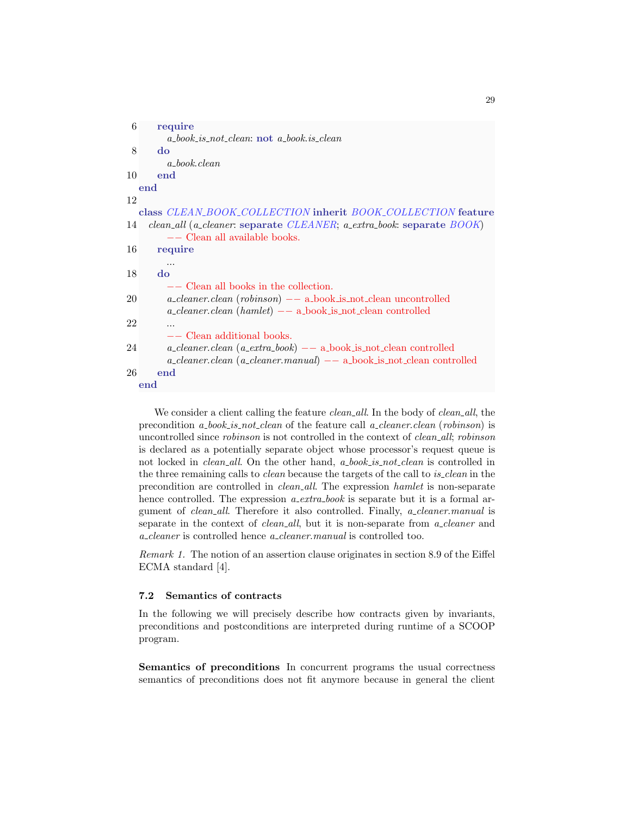```
6 require
        a book is not clean: not a book.is clean
 8 do
        a book.clean
10 end
  end
12
  class CLEAN BOOK COLLECTION inherit BOOK COLLECTION feature
14 clean all (a cleaner: separate CLEANER; a extra book: separate BOOK)
        −− Clean all available books.
16 require
        ...
18 do
        −− Clean all books in the collection.
20 a cleaner.clean (robinson) −− a book is not clean uncontrolled
        a cleaner.clean (hamlet) −− a book is not clean controlled
22 ...
        −− Clean additional books.
24 a cleaner.clean (a extra book) −− a book is not clean controlled
        a cleaner.clean (a cleaner.manual) −− a book is not clean controlled
26 end
  end
```
We consider a client calling the feature *clean all*. In the body of *clean all*, the precondition a book is not clean of the feature call a cleaner clean (robinson) is uncontrolled since robinson is not controlled in the context of clean all; robinson is declared as a potentially separate object whose processor's request queue is not locked in *clean\_all*. On the other hand, *a\_book\_is\_not\_clean* is controlled in the three remaining calls to clean because the targets of the call to is clean in the precondition are controlled in clean all. The expression hamlet is non-separate hence controlled. The expression *a extra book* is separate but it is a formal argument of clean all. Therefore it also controlled. Finally, a cleaner.manual is separate in the context of *clean all*, but it is non-separate from *a cleaner* and a cleaner is controlled hence a cleaner.manual is controlled too.

Remark 1. The notion of an assertion clause originates in section 8.9 of the Eiffel ECMA standard [4].

#### 7.2 Semantics of contracts

In the following we will precisely describe how contracts given by invariants, preconditions and postconditions are interpreted during runtime of a SCOOP program.

Semantics of preconditions In concurrent programs the usual correctness semantics of preconditions does not fit anymore because in general the client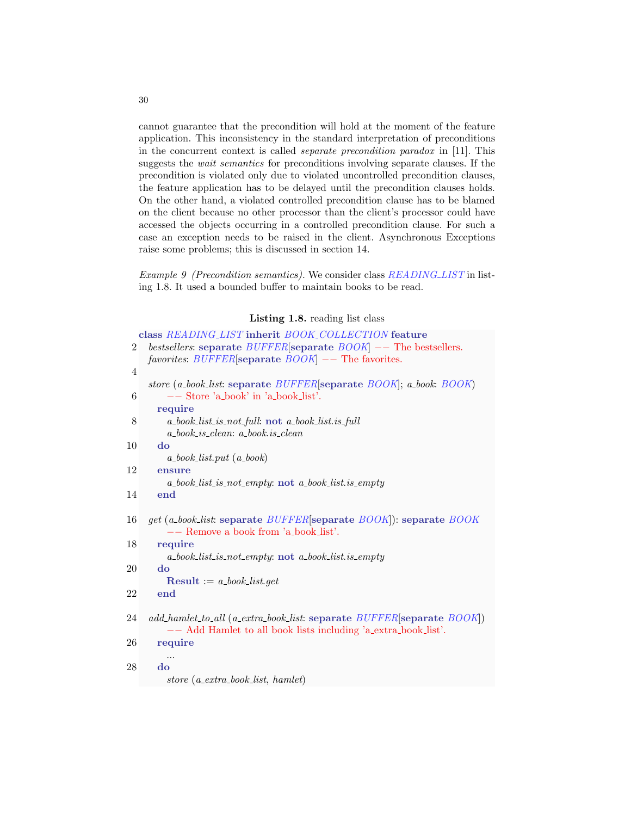cannot guarantee that the precondition will hold at the moment of the feature application. This inconsistency in the standard interpretation of preconditions in the concurrent context is called separate precondition paradox in [11]. This suggests the wait semantics for preconditions involving separate clauses. If the precondition is violated only due to violated uncontrolled precondition clauses, the feature application has to be delayed until the precondition clauses holds. On the other hand, a violated controlled precondition clause has to be blamed on the client because no other processor than the client's processor could have accessed the objects occurring in a controlled precondition clause. For such a case an exception needs to be raised in the client. Asynchronous Exceptions raise some problems; this is discussed in section 14.

Example 9 (Precondition semantics). We consider class READING LIST in listing 1.8. It used a bounded buffer to maintain books to be read.

#### Listing 1.8. reading list class

```
class READING LIST inherit BOOK COLLECTION feature
2 bestsellers: separate BUFFER[separate BOOK] -- The bestsellers.
    favorites: BUFFER[separate~BOOK] \nightharpoonup The favorites.
4
    store (a book list: separate BUFFER[separate BOOK]; a book: BOOK)
6 −− Store 'a book' in 'a book list'.
      require
8 a book list is not full: not a book list.is full
        a book is clean: a book.is clean
10 do
        a\_book\_list.put(a\_book)12 ensure
        a book list is not empty: not a book list.is empty
14 end
16 get (a book list: separate BUFFER[separate BOOK]): separate BOOK
        −− Remove a book from 'a book list'.
18 require
        a book list is not empty: not a book list.is empty
20 do
        Result := a\_book\_list.get22 end
24 add_hamlet_to_all (a_extra_book_list: separate BUFFER[separate BOOK])
        −− Add Hamlet to all book lists including 'a extra book list'.
26 require
        ...
28 do
        store (a_extra_book_list, hamlet)
```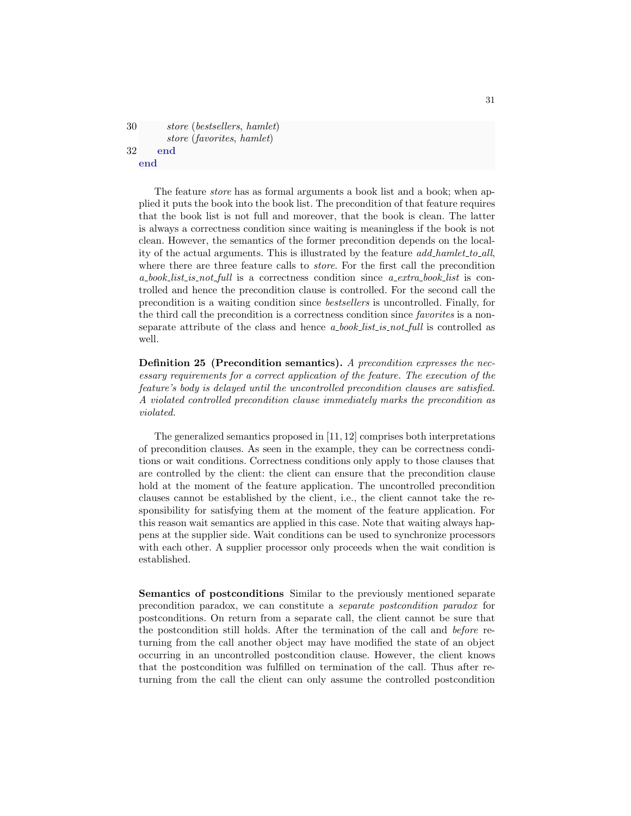30 store (bestsellers, hamlet) store (favorites, hamlet) 32 end end

The feature *store* has as formal arguments a book list and a book; when applied it puts the book into the book list. The precondition of that feature requires that the book list is not full and moreover, that the book is clean. The latter is always a correctness condition since waiting is meaningless if the book is not clean. However, the semantics of the former precondition depends on the locality of the actual arguments. This is illustrated by the feature *add\_hamlet\_to\_all*, where there are three feature calls to *store*. For the first call the precondition  $a_{\text{-}}book\_list\_is_{\text{-}}not_{\text{-}}full$  is a correctness condition since  $a_{\text{-}}extra_{\text{-}}book\_list$  is controlled and hence the precondition clause is controlled. For the second call the precondition is a waiting condition since bestsellers is uncontrolled. Finally, for the third call the precondition is a correctness condition since favorites is a nonseparate attribute of the class and hence a book list is not full is controlled as well.

Definition 25 (Precondition semantics). A precondition expresses the necessary requirements for a correct application of the feature. The execution of the feature's body is delayed until the uncontrolled precondition clauses are satisfied. A violated controlled precondition clause immediately marks the precondition as violated.

The generalized semantics proposed in [11, 12] comprises both interpretations of precondition clauses. As seen in the example, they can be correctness conditions or wait conditions. Correctness conditions only apply to those clauses that are controlled by the client: the client can ensure that the precondition clause hold at the moment of the feature application. The uncontrolled precondition clauses cannot be established by the client, i.e., the client cannot take the responsibility for satisfying them at the moment of the feature application. For this reason wait semantics are applied in this case. Note that waiting always happens at the supplier side. Wait conditions can be used to synchronize processors with each other. A supplier processor only proceeds when the wait condition is established.

Semantics of postconditions Similar to the previously mentioned separate precondition paradox, we can constitute a separate postcondition paradox for postconditions. On return from a separate call, the client cannot be sure that the postcondition still holds. After the termination of the call and before returning from the call another object may have modified the state of an object occurring in an uncontrolled postcondition clause. However, the client knows that the postcondition was fulfilled on termination of the call. Thus after returning from the call the client can only assume the controlled postcondition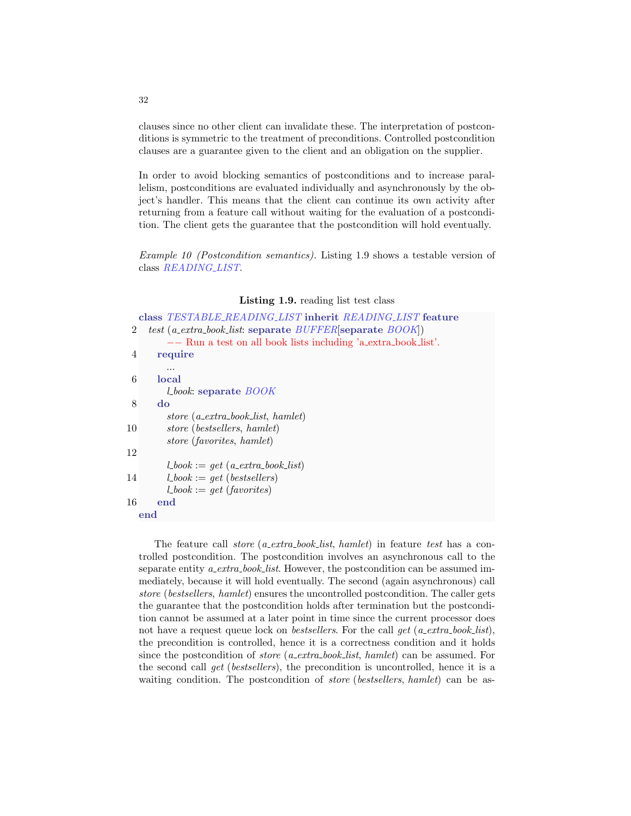clauses since no other client can invalidate these. The interpretation of postconditions is symmetric to the treatment of preconditions. Controlled postcondition clauses are a guarantee given to the client and an obligation on the supplier.

In order to avoid blocking semantics of postconditions and to increase parallelism, postconditions are evaluated individually and asynchronously by the object's handler. This means that the client can continue its own activity after returning from a feature call without waiting for the evaluation of a postcondition. The client gets the guarantee that the postcondition will hold eventually.

Example 10 (Postcondition semantics). Listing 1.9 shows a testable version of class READING\_LIST.

### Listing 1.9. reading list test class

class TESTABLE READING LIST inherit READING LIST feature 2 test (a\_extra\_book\_list: separate  $BUFFER$ [separate  $BOOK$ ]) −− Run a test on all book lists including 'a extra book list'. 4 require ... 6 local l book: separate BOOK 8 do store (a\_extra\_book\_list, hamlet) 10 store (bestsellers, hamlet) store (favorites, hamlet) 12  $l\_book := get (a\_extra\_book\_list)$ 14  $l\_book := get (bestself)$  $l\_book := get$  (favorites) 16 end end

The feature call *store* (*a\_extra\_book\_list, hamlet*) in feature test has a controlled postcondition. The postcondition involves an asynchronous call to the separate entity  $a_{\text{-}extra\_book\_list}$ . However, the postcondition can be assumed immediately, because it will hold eventually. The second (again asynchronous) call store (bestsellers, hamlet) ensures the uncontrolled postcondition. The caller gets the guarantee that the postcondition holds after termination but the postcondition cannot be assumed at a later point in time since the current processor does not have a request queue lock on *bestsellers*. For the call get  $(a\_extra\_book\_list)$ , the precondition is controlled, hence it is a correctness condition and it holds since the postcondition of *store* (*a\_extra\_book\_list, hamlet*) can be assumed. For the second call get (bestsellers), the precondition is uncontrolled, hence it is a waiting condition. The postcondition of *store* (bestsellers, hamlet) can be as-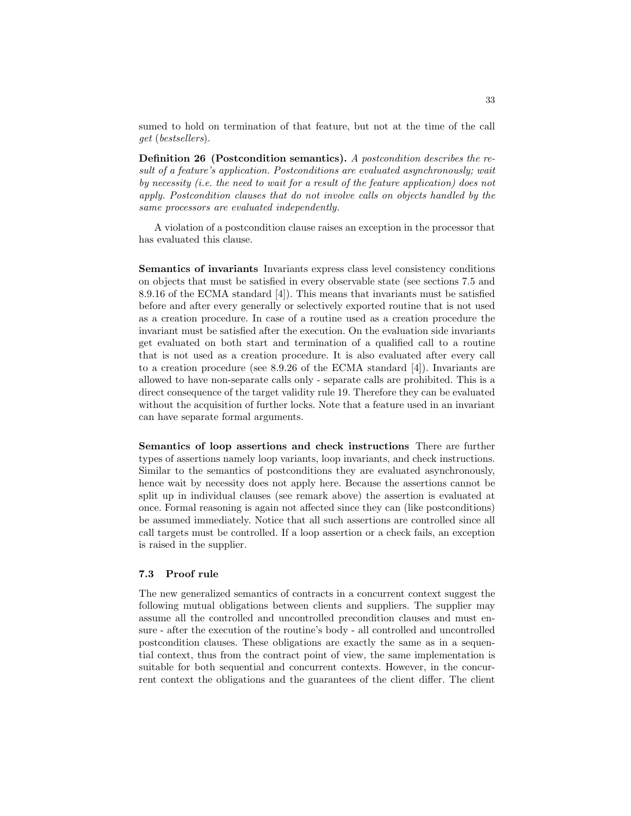sumed to hold on termination of that feature, but not at the time of the call get (bestsellers).

Definition 26 (Postcondition semantics). A postcondition describes the result of a feature's application. Postconditions are evaluated asynchronously; wait by necessity (i.e. the need to wait for a result of the feature application) does not apply. Postcondition clauses that do not involve calls on objects handled by the same processors are evaluated independently.

A violation of a postcondition clause raises an exception in the processor that has evaluated this clause.

Semantics of invariants Invariants express class level consistency conditions on objects that must be satisfied in every observable state (see sections 7.5 and 8.9.16 of the ECMA standard [4]). This means that invariants must be satisfied before and after every generally or selectively exported routine that is not used as a creation procedure. In case of a routine used as a creation procedure the invariant must be satisfied after the execution. On the evaluation side invariants get evaluated on both start and termination of a qualified call to a routine that is not used as a creation procedure. It is also evaluated after every call to a creation procedure (see 8.9.26 of the ECMA standard [4]). Invariants are allowed to have non-separate calls only - separate calls are prohibited. This is a direct consequence of the target validity rule 19. Therefore they can be evaluated without the acquisition of further locks. Note that a feature used in an invariant can have separate formal arguments.

Semantics of loop assertions and check instructions There are further types of assertions namely loop variants, loop invariants, and check instructions. Similar to the semantics of postconditions they are evaluated asynchronously, hence wait by necessity does not apply here. Because the assertions cannot be split up in individual clauses (see remark above) the assertion is evaluated at once. Formal reasoning is again not affected since they can (like postconditions) be assumed immediately. Notice that all such assertions are controlled since all call targets must be controlled. If a loop assertion or a check fails, an exception is raised in the supplier.

#### 7.3 Proof rule

The new generalized semantics of contracts in a concurrent context suggest the following mutual obligations between clients and suppliers. The supplier may assume all the controlled and uncontrolled precondition clauses and must ensure - after the execution of the routine's body - all controlled and uncontrolled postcondition clauses. These obligations are exactly the same as in a sequential context, thus from the contract point of view, the same implementation is suitable for both sequential and concurrent contexts. However, in the concurrent context the obligations and the guarantees of the client differ. The client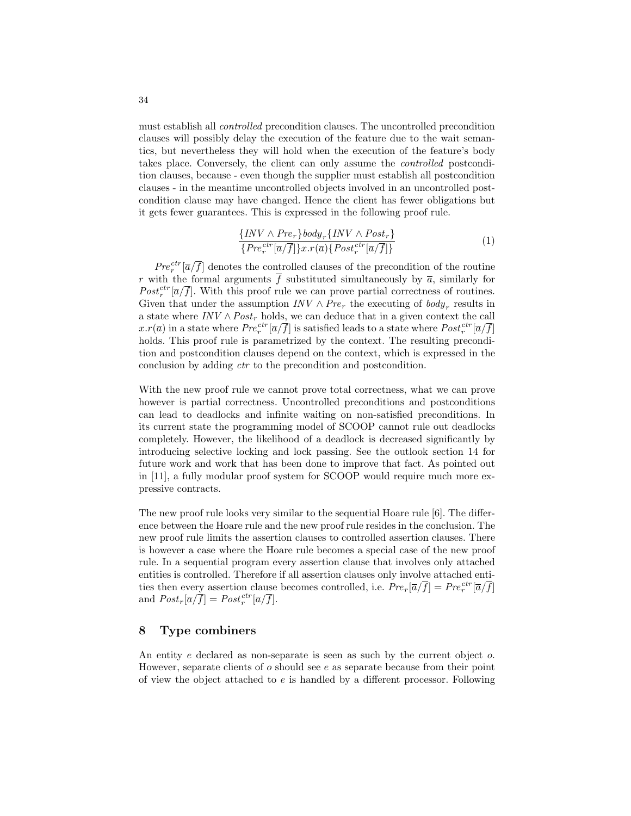must establish all controlled precondition clauses. The uncontrolled precondition clauses will possibly delay the execution of the feature due to the wait semantics, but nevertheless they will hold when the execution of the feature's body takes place. Conversely, the client can only assume the controlled postcondition clauses, because - even though the supplier must establish all postcondition clauses - in the meantime uncontrolled objects involved in an uncontrolled postcondition clause may have changed. Hence the client has fewer obligations but it gets fewer guarantees. This is expressed in the following proof rule.

$$
\frac{\{INV \wedge Pre_r\} body_r\{INV \wedge Post_r\}}{\{Pre_r^{ctr}[\overline{a}/\overline{f}]\} x.r(\overline{a})\{Post_r^{ctr}[\overline{a}/\overline{f}]\}}
$$
\n
$$
(1)
$$

 $Pre^{ctr}_{r}[\overline{a}/\overline{f}]$  denotes the controlled clauses of the precondition of the routine r with the formal arguments  $\bar{f}$  substituted simultaneously by  $\bar{a}$ , similarly for  $Post_r^{ctr}[\overline{a}/\overline{f}]$ . With this proof rule we can prove partial correctness of routines. Given that under the assumption  $INV \wedge Pre_r$  the executing of  $body_r$  results in a state where  $INV \wedge Post_r$  holds, we can deduce that in a given context the call  $x.r(\overline{a})$  in a state where  $Pre_r^{ctr}[\overline{a}/\overline{f}]$  is satisfied leads to a state where  $Post_r^{ctr}[\overline{a}/\overline{f}]$ holds. This proof rule is parametrized by the context. The resulting precondition and postcondition clauses depend on the context, which is expressed in the conclusion by adding *ctr* to the precondition and postcondition.

With the new proof rule we cannot prove total correctness, what we can prove however is partial correctness. Uncontrolled preconditions and postconditions can lead to deadlocks and infinite waiting on non-satisfied preconditions. In its current state the programming model of SCOOP cannot rule out deadlocks completely. However, the likelihood of a deadlock is decreased significantly by introducing selective locking and lock passing. See the outlook section 14 for future work and work that has been done to improve that fact. As pointed out in [11], a fully modular proof system for SCOOP would require much more expressive contracts.

The new proof rule looks very similar to the sequential Hoare rule [6]. The difference between the Hoare rule and the new proof rule resides in the conclusion. The new proof rule limits the assertion clauses to controlled assertion clauses. There is however a case where the Hoare rule becomes a special case of the new proof rule. In a sequential program every assertion clause that involves only attached entities is controlled. Therefore if all assertion clauses only involve attached entities then every assertion clause becomes controlled, i.e.  $Pre_r[\overline{a}/\overline{f}] = Pre_r^{ctr}[\overline{a}/\overline{f}]$ and  $Post_r[\overline{a}/\overline{f}] = Post_r^{ctr}[\overline{a}/\overline{f}].$ 

### 8 Type combiners

An entity e declared as non-separate is seen as such by the current object o. However, separate clients of  $o$  should see  $e$  as separate because from their point of view the object attached to  $e$  is handled by a different processor. Following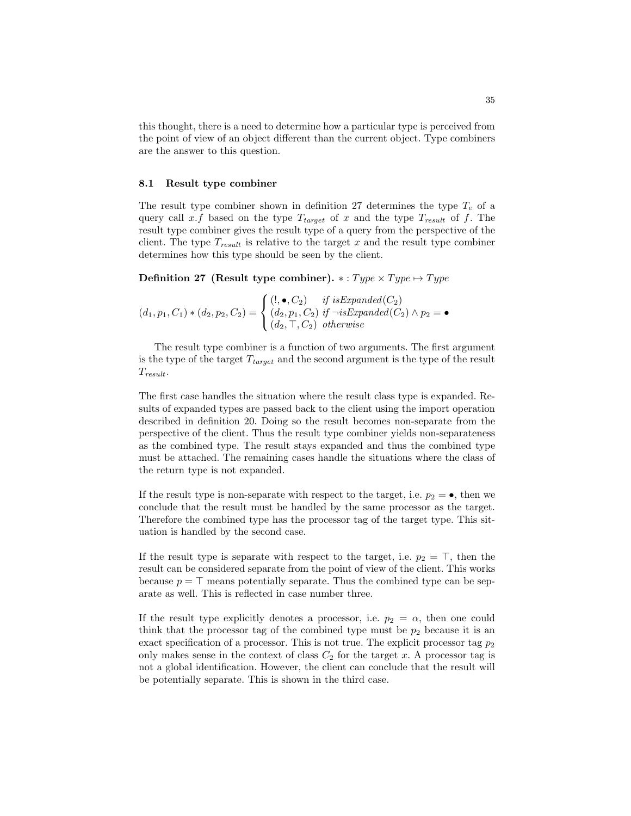this thought, there is a need to determine how a particular type is perceived from the point of view of an object different than the current object. Type combiners are the answer to this question.

#### 8.1 Result type combiner

The result type combiner shown in definition 27 determines the type  $T_e$  of a query call x.f based on the type  $T_{target}$  of x and the type  $T_{result}$  of f. The result type combiner gives the result type of a query from the perspective of the client. The type  $T_{result}$  is relative to the target x and the result type combiner determines how this type should be seen by the client.

Definition 27 (Result type combiner).  $* : Type \times Type \rightarrow Type$ 

$$
(d_1, p_1, C_1) * (d_2, p_2, C_2) = \begin{cases} (!, \bullet, C_2) & \text{if isExpanded}(C_2) \\ (d_2, p_1, C_2) & \text{if } \neg \text{isExpanded}(C_2) \land p_2 = \bullet \\ (d_2, \top, C_2) & \text{otherwise} \end{cases}
$$

The result type combiner is a function of two arguments. The first argument is the type of the target  $T_{target}$  and the second argument is the type of the result  $T_{result}.$ 

The first case handles the situation where the result class type is expanded. Results of expanded types are passed back to the client using the import operation described in definition 20. Doing so the result becomes non-separate from the perspective of the client. Thus the result type combiner yields non-separateness as the combined type. The result stays expanded and thus the combined type must be attached. The remaining cases handle the situations where the class of the return type is not expanded.

If the result type is non-separate with respect to the target, i.e.  $p_2 = \bullet$ , then we conclude that the result must be handled by the same processor as the target. Therefore the combined type has the processor tag of the target type. This situation is handled by the second case.

If the result type is separate with respect to the target, i.e.  $p_2 = \top$ , then the result can be considered separate from the point of view of the client. This works because  $p = \top$  means potentially separate. Thus the combined type can be separate as well. This is reflected in case number three.

If the result type explicitly denotes a processor, i.e.  $p_2 = \alpha$ , then one could think that the processor tag of the combined type must be  $p_2$  because it is an exact specification of a processor. This is not true. The explicit processor tag  $p_2$ only makes sense in the context of class  $C_2$  for the target x. A processor tag is not a global identification. However, the client can conclude that the result will be potentially separate. This is shown in the third case.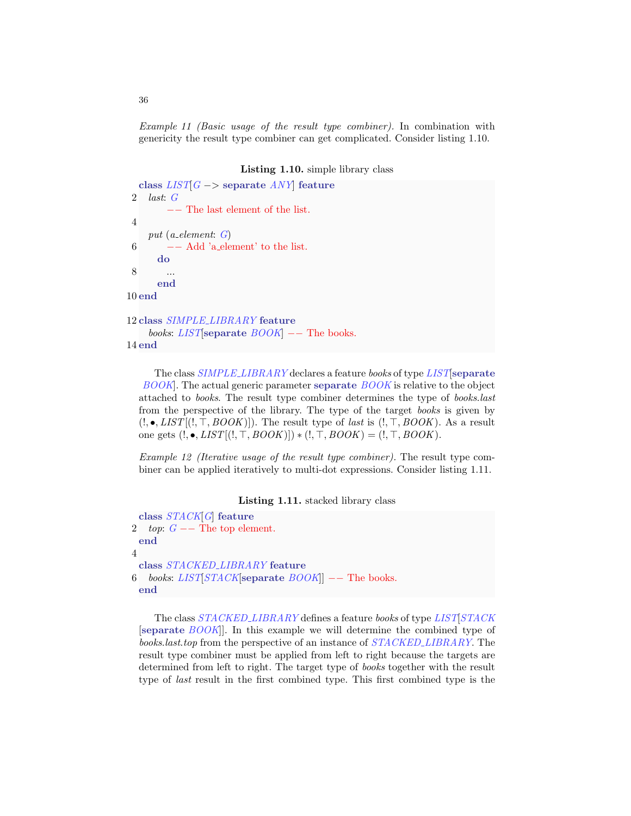Example 11 (Basic usage of the result type combiner). In combination with genericity the result type combiner can get complicated. Consider listing 1.10.

#### Listing 1.10. simple library class

```
class LIST[G \rightarrow separate \; ANY] feature
 2 last: G
        −− The last element of the list.
 4
    put (a_element: G)
 6 \quad --\text{Add 'a-element' to the list.}do
 8 ...
      end
10 end
12 class SIMPLE LIBRARY feature
    books: LIST separate BOOK -- The books.
```

```
14 end
```
The class SIMPLE\_LIBRARY declares a feature books of type LIST separate  $BOOK$ . The actual generic parameter separate  $BOOK$  is relative to the object attached to books. The result type combiner determines the type of books.last from the perspective of the library. The type of the target books is given by  $(!, \bullet, LIST[(!, \top, BOOK)]).$  The result type of *last* is  $(!, \top, BOOK).$  As a result one gets  $(!, \bullet, LIST[(!, \top, BOOK)]) * (!, \top, BOOK) = (!, \top, BOOK).$ 

Example 12 (Iterative usage of the result type combiner). The result type combiner can be applied iteratively to multi-dot expressions. Consider listing 1.11.

Listing 1.11. stacked library class

```
class STACK[G] feature
2 top: G -- The top element.
 end
4
 class STACKED LIBRARY feature
6 books: LIST[STACK[separate BOOK]] −− The books.
 end
```
The class  $STACKED$ \_LIBRARY defines a feature books of type LIST[STACK [separate BOOK]]. In this example we will determine the combined type of books.last.top from the perspective of an instance of STACKED LIBRARY. The result type combiner must be applied from left to right because the targets are determined from left to right. The target type of books together with the result type of last result in the first combined type. This first combined type is the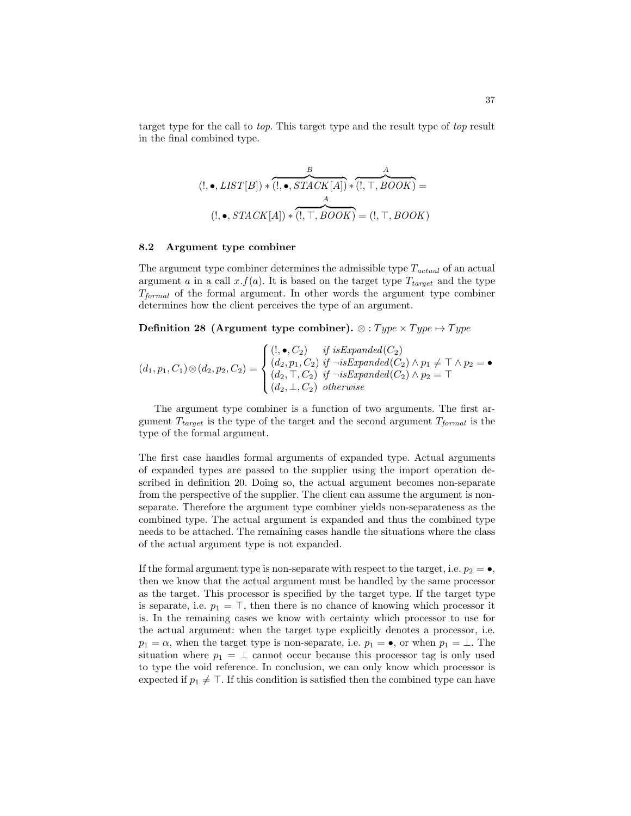target type for the call to top. This target type and the result type of top result in the final combined type.

$$
(\mathbf{l}, \bullet, LIST[B]) * \overbrace{(\mathbf{l}, \bullet, STACK[A])}^{B} * \overbrace{(\mathbf{l}, \top, BOOK)}^{A} = (\mathbf{l}, \bullet, STACK[A]) * \overbrace{(\mathbf{l}, \top, BOOK)}^{A} = (\mathbf{l}, \top, BOOK)
$$

#### 8.2 Argument type combiner

The argument type combiner determines the admissible type  $T_{actual}$  of an actual argument a in a call  $x.f(a)$ . It is based on the target type  $T_{target}$  and the type  $T_{formal}$  of the formal argument. In other words the argument type combiner determines how the client perceives the type of an argument.

Definition 28 (Argument type combiner).  $\otimes$  : Type  $\times$  Type  $\mapsto$  Type

$$
(d_1, p_1, C_1) \otimes (d_2, p_2, C_2) = \begin{cases} (!, \bullet, C_2) & \text{if isExpanded}(C_2) \\ (d_2, p_1, C_2) & \text{if } \neg \text{isExpanded}(C_2) \land p_1 \neq \top \land p_2 = \bullet \\ (d_2, \top, C_2) & \text{if } \neg \text{isExpanded}(C_2) \land p_2 = \top \\ (d_2, \bot, C_2) & \text{otherwise} \end{cases}
$$

The argument type combiner is a function of two arguments. The first argument  $T_{target}$  is the type of the target and the second argument  $T_{formal}$  is the type of the formal argument.

The first case handles formal arguments of expanded type. Actual arguments of expanded types are passed to the supplier using the import operation described in definition 20. Doing so, the actual argument becomes non-separate from the perspective of the supplier. The client can assume the argument is nonseparate. Therefore the argument type combiner yields non-separateness as the combined type. The actual argument is expanded and thus the combined type needs to be attached. The remaining cases handle the situations where the class of the actual argument type is not expanded.

If the formal argument type is non-separate with respect to the target, i.e.  $p_2 = \bullet$ , then we know that the actual argument must be handled by the same processor as the target. This processor is specified by the target type. If the target type is separate, i.e.  $p_1 = \top$ , then there is no chance of knowing which processor it is. In the remaining cases we know with certainty which processor to use for the actual argument: when the target type explicitly denotes a processor, i.e.  $p_1 = \alpha$ , when the target type is non-separate, i.e.  $p_1 = \bullet$ , or when  $p_1 = \bot$ . The situation where  $p_1 = \perp$  cannot occur because this processor tag is only used to type the void reference. In conclusion, we can only know which processor is expected if  $p_1 \neq \top$ . If this condition is satisfied then the combined type can have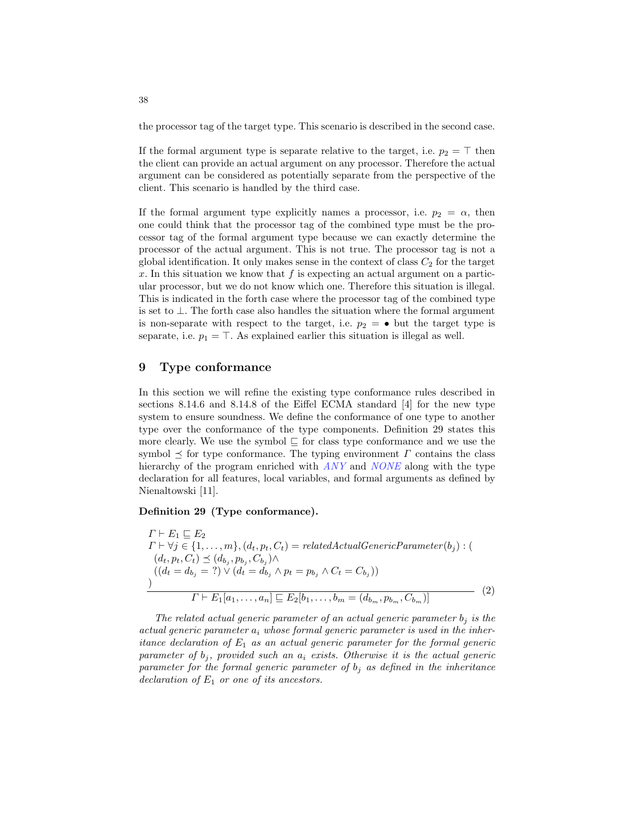the processor tag of the target type. This scenario is described in the second case.

If the formal argument type is separate relative to the target, i.e.  $p_2 = \top$  then the client can provide an actual argument on any processor. Therefore the actual argument can be considered as potentially separate from the perspective of the client. This scenario is handled by the third case.

If the formal argument type explicitly names a processor, i.e.  $p_2 = \alpha$ , then one could think that the processor tag of the combined type must be the processor tag of the formal argument type because we can exactly determine the processor of the actual argument. This is not true. The processor tag is not a global identification. It only makes sense in the context of class  $C_2$  for the target x. In this situation we know that  $f$  is expecting an actual argument on a particular processor, but we do not know which one. Therefore this situation is illegal. This is indicated in the forth case where the processor tag of the combined type is set to ⊥. The forth case also handles the situation where the formal argument is non-separate with respect to the target, i.e.  $p_2 = \bullet$  but the target type is separate, i.e.  $p_1 = \top$ . As explained earlier this situation is illegal as well.

# 9 Type conformance

In this section we will refine the existing type conformance rules described in sections 8.14.6 and 8.14.8 of the Eiffel ECMA standard [4] for the new type system to ensure soundness. We define the conformance of one type to another type over the conformance of the type components. Definition 29 states this more clearly. We use the symbol  $\subseteq$  for class type conformance and we use the symbol  $\preceq$  for type conformance. The typing environment  $\Gamma$  contains the class hierarchy of the program enriched with ANY and NONE along with the type declaration for all features, local variables, and formal arguments as defined by Nienaltowski [11].

#### Definition 29 (Type conformance).

$$
\Gamma \vdash E_1 \sqsubseteq E_2
$$
\n
$$
\Gamma \vdash \forall j \in \{1, ..., m\}, (d_t, p_t, C_t) = relatedActualGenerator(b_j) : (d_t, p_t, C_t) \preceq (d_{b_j}, p_{b_j}, C_{b_j}) \land \n((d_t = d_{b_j} = ?) \lor (d_t = d_{b_j} \land p_t = p_{b_j} \land C_t = C_{b_j}))
$$
\n
$$
\frac{\cdot}{\Gamma \vdash E_1[a_1, ..., a_n] \sqsubseteq E_2[b_1, ..., b_m = (d_{b_m}, p_{b_m}, C_{b_m})]} \tag{2}
$$

The related actual generic parameter of an actual generic parameter  $b_i$  is the actual generic parameter  $a_i$  whose formal generic parameter is used in the inheritance declaration of  $E_1$  as an actual generic parameter for the formal generic parameter of  $b_j$ , provided such an  $a_i$  exists. Otherwise it is the actual generic parameter for the formal generic parameter of  $b_j$  as defined in the inheritance declaration of  $E_1$  or one of its ancestors.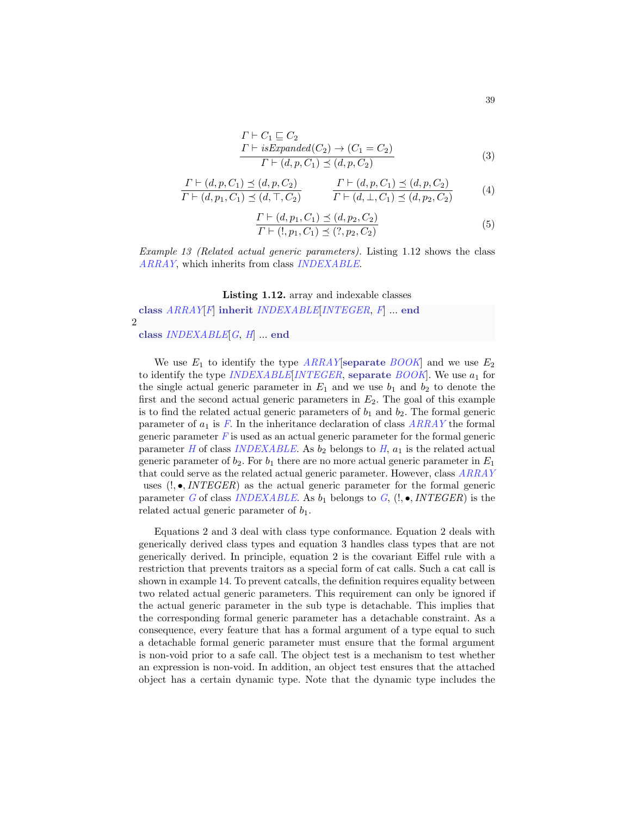$$
\frac{\Gamma \vdash C_1 \sqsubseteq C_2}{\Gamma \vdash isExpanded(C_2) \to (C_1 = C_2)}
$$
\n
$$
\frac{\Gamma \vdash (d, p, C_1) \preceq (d, p, C_2)}{\Gamma \vdash (d, p, C_1) \preceq (d, p, C_2)}
$$
\n
$$
(3)
$$

$$
\frac{\Gamma \vdash (d, p, C_1) \preceq (d, p, C_2)}{\Gamma \vdash (d, p_1, C_1) \preceq (d, \top, C_2)} \qquad \frac{\Gamma \vdash (d, p, C_1) \preceq (d, p, C_2)}{\Gamma \vdash (d, \bot, C_1) \preceq (d, p_2, C_2)} \tag{4}
$$

$$
\frac{\Gamma \vdash (d, p_1, C_1) \preceq (d, p_2, C_2)}{\Gamma \vdash (l, p_1, C_1) \preceq (?, p_2, C_2)}\tag{5}
$$

Example 13 (Related actual generic parameters). Listing 1.12 shows the class ARRAY, which inherits from class INDEXABLE.

### Listing 1.12. array and indexable classes

class  $ARRAY|F|$  inherit  $INDEXABLE|INTER, F|$  ... end 2 class  $INDEXABLE[G, H]$  ... end

We use  $E_1$  to identify the type ARRAY [separate BOOK] and we use  $E_2$ to identify the type INDEXABLE INTEGER, separate  $BOOK$ . We use  $a_1$  for the single actual generic parameter in  $E_1$  and we use  $b_1$  and  $b_2$  to denote the first and the second actual generic parameters in  $E_2$ . The goal of this example is to find the related actual generic parameters of  $b_1$  and  $b_2$ . The formal generic parameter of  $a_1$  is F. In the inheritance declaration of class  $ARRAY$  the formal generic parameter  $\overline{F}$  is used as an actual generic parameter for the formal generic parameter H of class INDEXABLE. As  $b_2$  belongs to H,  $a_1$  is the related actual generic parameter of  $b_2$ . For  $b_1$  there are no more actual generic parameter in  $E_1$ that could serve as the related actual generic parameter. However, class ARRAY uses  $(l, \bullet, INTEGR)$  as the actual generic parameter for the formal generic parameter G of class INDEXABLE. As  $b_1$  belongs to G,  $(l, \bullet, INTEGR)$  is the related actual generic parameter of  $b_1$ .

Equations 2 and 3 deal with class type conformance. Equation 2 deals with generically derived class types and equation 3 handles class types that are not generically derived. In principle, equation 2 is the covariant Eiffel rule with a restriction that prevents traitors as a special form of cat calls. Such a cat call is shown in example 14. To prevent catcalls, the definition requires equality between two related actual generic parameters. This requirement can only be ignored if the actual generic parameter in the sub type is detachable. This implies that the corresponding formal generic parameter has a detachable constraint. As a consequence, every feature that has a formal argument of a type equal to such a detachable formal generic parameter must ensure that the formal argument is non-void prior to a safe call. The object test is a mechanism to test whether an expression is non-void. In addition, an object test ensures that the attached object has a certain dynamic type. Note that the dynamic type includes the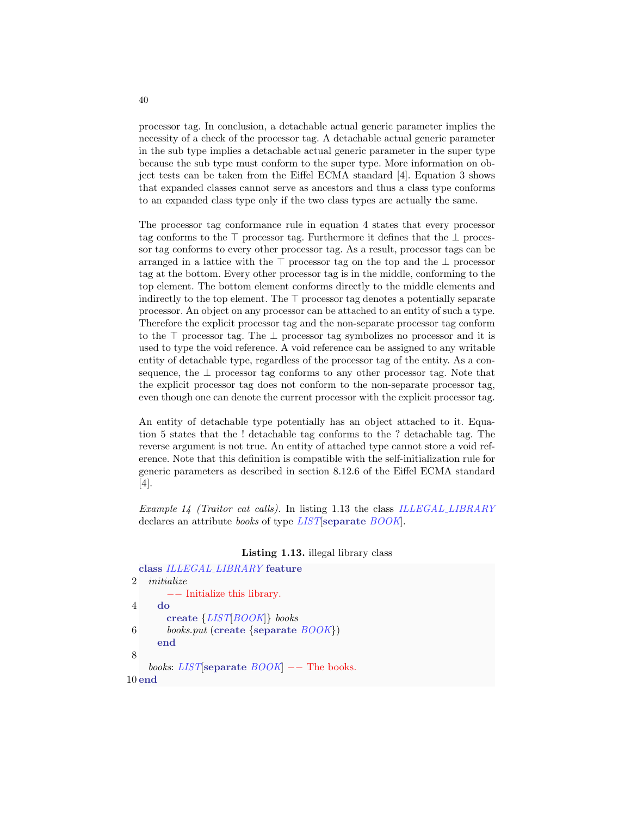processor tag. In conclusion, a detachable actual generic parameter implies the necessity of a check of the processor tag. A detachable actual generic parameter in the sub type implies a detachable actual generic parameter in the super type because the sub type must conform to the super type. More information on object tests can be taken from the Eiffel ECMA standard [4]. Equation 3 shows that expanded classes cannot serve as ancestors and thus a class type conforms to an expanded class type only if the two class types are actually the same.

The processor tag conformance rule in equation 4 states that every processor tag conforms to the  $\top$  processor tag. Furthermore it defines that the  $\bot$  processor tag conforms to every other processor tag. As a result, processor tags can be arranged in a lattice with the  $\top$  processor tag on the top and the  $\bot$  processor tag at the bottom. Every other processor tag is in the middle, conforming to the top element. The bottom element conforms directly to the middle elements and indirectly to the top element. The  $\top$  processor tag denotes a potentially separate processor. An object on any processor can be attached to an entity of such a type. Therefore the explicit processor tag and the non-separate processor tag conform to the  $\top$  processor tag. The  $\bot$  processor tag symbolizes no processor and it is used to type the void reference. A void reference can be assigned to any writable entity of detachable type, regardless of the processor tag of the entity. As a consequence, the ⊥ processor tag conforms to any other processor tag. Note that the explicit processor tag does not conform to the non-separate processor tag, even though one can denote the current processor with the explicit processor tag.

An entity of detachable type potentially has an object attached to it. Equation 5 states that the ! detachable tag conforms to the ? detachable tag. The reverse argument is not true. An entity of attached type cannot store a void reference. Note that this definition is compatible with the self-initialization rule for generic parameters as described in section 8.12.6 of the Eiffel ECMA standard [4].

Example 14 (Traitor cat calls). In listing 1.13 the class ILLEGAL LIBRARY declares an attribute *books* of type *LIST* separate *BOOK*.

### Listing 1.13. illegal library class

```
class ILLEGAL LIBRARY feature
2 initialize
        −− Initialize this library.
4 do
       create {LIST[BOOK]} books
6 books.put (create {separate BOOK})
     end
8
    books: LIST separate BOOK -- The books.
10 end
```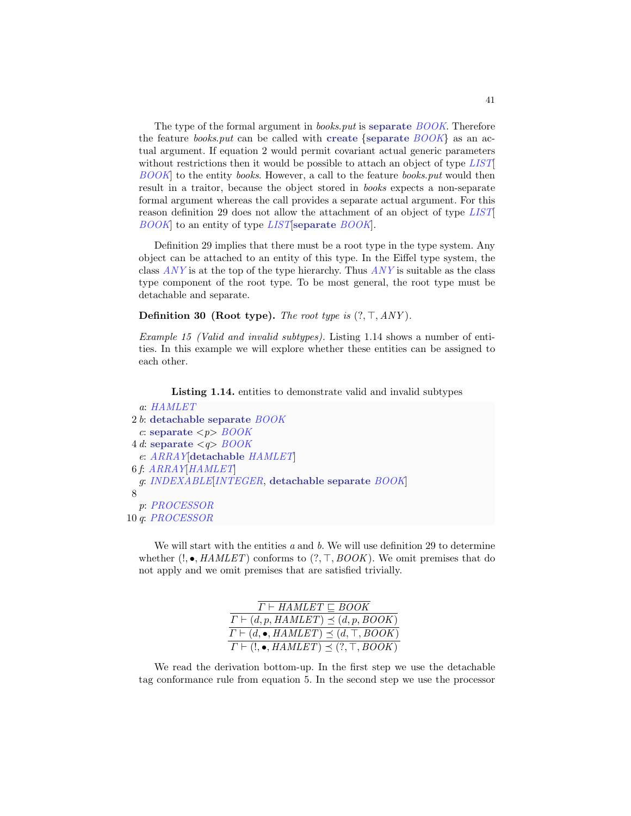The type of the formal argument in *books.put* is separate *BOOK*. Therefore the feature books.put can be called with create  $\{$  separate  $BOOK\}$  as an actual argument. If equation 2 would permit covariant actual generic parameters without restrictions then it would be possible to attach an object of type LIST BOOK] to the entity books. However, a call to the feature books.put would then result in a traitor, because the object stored in books expects a non-separate formal argument whereas the call provides a separate actual argument. For this reason definition 29 does not allow the attachment of an object of type LIST  $BOOK$ ] to an entity of type LIST separate  $BOOK$ .

Definition 29 implies that there must be a root type in the type system. Any object can be attached to an entity of this type. In the Eiffel type system, the class  $ANY$  is at the top of the type hierarchy. Thus  $ANY$  is suitable as the class type component of the root type. To be most general, the root type must be detachable and separate.

**Definition 30 (Root type).** The root type is  $(?, \top, \text{ANY})$ .

Example 15 (Valid and invalid subtypes). Listing 1.14 shows a number of entities. In this example we will explore whether these entities can be assigned to each other.

Listing 1.14. entities to demonstrate valid and invalid subtypes

```
a: HAMLET
2 b: detachable separate BOOK
  c: separate \langle p \rangle BOOK
4 d: separate \langle q \rangle BOOK
  e: ARRAY[detachable HAMLET]
 6 f: ARRAY[HAMLET]
  g: INDEXABLE[INTEGER, detachable separate BOOK]
8
  p: PROCESSOR
10 q: PROCESSOR
```
We will start with the entities  $a$  and  $b$ . We will use definition 29 to determine whether  $(l, \bullet, HAMLET)$  conforms to  $(?, \top, BOOK)$ . We omit premises that do not apply and we omit premises that are satisfied trivially.

| $\Gamma \vdash$ HAMLET $\sqsubseteq$ BOOK                    |
|--------------------------------------------------------------|
| $\Gamma \vdash (d, p, HAMLET) \preceq (d, p, BOOK)$          |
| $\Gamma \vdash (d, \bullet, HAMLET) \preceq (d, \top, BOOK)$ |
| $\Gamma \vdash (!, \bullet, HAMLET) \preceq (?, \top, BOOK)$ |

We read the derivation bottom-up. In the first step we use the detachable tag conformance rule from equation 5. In the second step we use the processor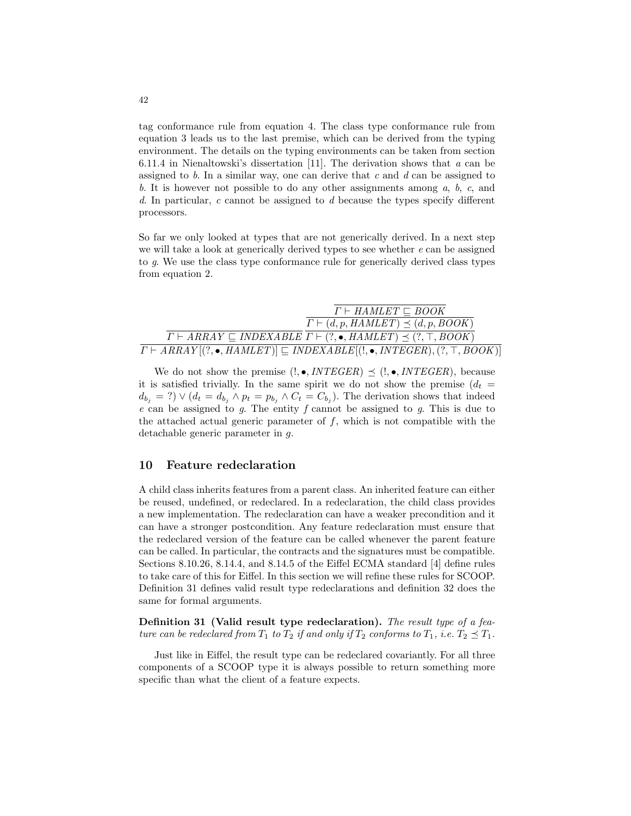tag conformance rule from equation 4. The class type conformance rule from equation 3 leads us to the last premise, which can be derived from the typing environment. The details on the typing environments can be taken from section 6.11.4 in Nienaltowski's dissertation [11]. The derivation shows that  $a$  can be assigned to  $b$ . In a similar way, one can derive that  $c$  and  $d$  can be assigned to b. It is however not possible to do any other assignments among  $a, b, c,$  and d. In particular, c cannot be assigned to d because the types specify different processors.

So far we only looked at types that are not generically derived. In a next step we will take a look at generically derived types to see whether  $e$  can be assigned to g. We use the class type conformance rule for generically derived class types from equation 2.

| $\Gamma \vdash$ HAMLET $\sqsubseteq$ BOOK                                                               |
|---------------------------------------------------------------------------------------------------------|
| $\Gamma \vdash (d, p, HAMLET) \preceq (d, p, BOOK)$                                                     |
| $\Gamma \vdash ARRAY \sqsubseteq INDEXABLE \Gamma \vdash (?, \bullet, HAMLET) \preceq (?, \top, BOOK)$  |
| $\Gamma \vdash ARRAY[(?, \bullet, HAMET)] \sqsubseteq INDEXABLE[(., \bullet, INTEGR], (?, \top, BOOK)]$ |

We do not show the premise  $(l, \bullet, INTEGR) \preceq (l, \bullet, INTEGR)$ , because it is satisfied trivially. In the same spirit we do not show the premise  $(d_t =$  $d_{b_j} = ?$ )  $\vee (d_t = d_{b_j} \wedge p_t = p_{b_j} \wedge C_t = C_{b_j})$ . The derivation shows that indeed  $e$  can be assigned to  $g$ . The entity  $f$  cannot be assigned to  $g$ . This is due to the attached actual generic parameter of  $f$ , which is not compatible with the detachable generic parameter in g.

### 10 Feature redeclaration

A child class inherits features from a parent class. An inherited feature can either be reused, undefined, or redeclared. In a redeclaration, the child class provides a new implementation. The redeclaration can have a weaker precondition and it can have a stronger postcondition. Any feature redeclaration must ensure that the redeclared version of the feature can be called whenever the parent feature can be called. In particular, the contracts and the signatures must be compatible. Sections 8.10.26, 8.14.4, and 8.14.5 of the Eiffel ECMA standard [4] define rules to take care of this for Eiffel. In this section we will refine these rules for SCOOP. Definition 31 defines valid result type redeclarations and definition 32 does the same for formal arguments.

Definition 31 (Valid result type redeclaration). The result type of a feature can be redeclared from  $T_1$  to  $T_2$  if and only if  $T_2$  conforms to  $T_1$ , i.e.  $T_2 \preceq T_1$ .

Just like in Eiffel, the result type can be redeclared covariantly. For all three components of a SCOOP type it is always possible to return something more specific than what the client of a feature expects.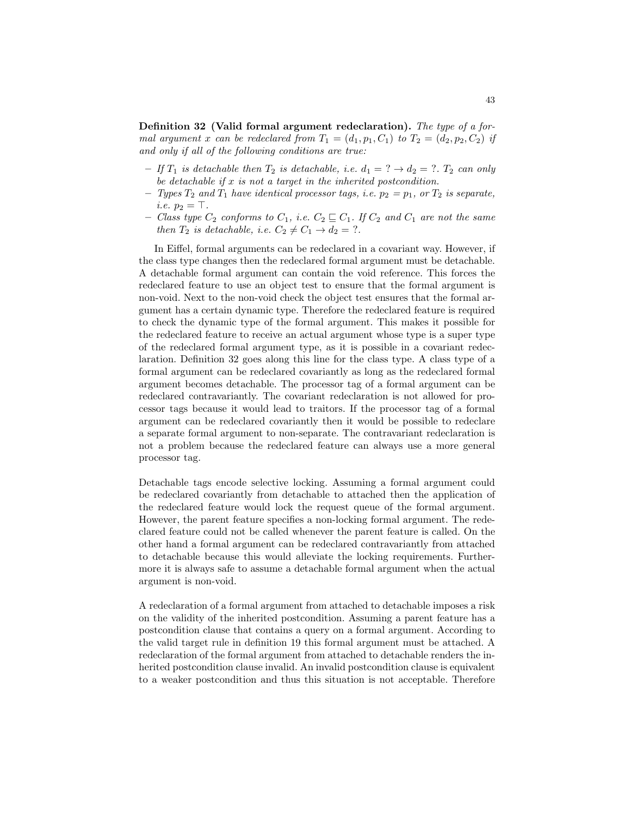Definition 32 (Valid formal argument redeclaration). The type of a formal argument x can be redeclared from  $T_1 = (d_1, p_1, C_1)$  to  $T_2 = (d_2, p_2, C_2)$  if and only if all of the following conditions are true:

- If  $T_1$  is detachable then  $T_2$  is detachable, i.e.  $d_1 = ? \rightarrow d_2 = ?$ .  $T_2$  can only be detachable if x is not a target in the inherited postcondition.
- Types  $T_2$  and  $T_1$  have identical processor tags, i.e.  $p_2 = p_1$ , or  $T_2$  is separate, i.e.  $p_2 = \top$ .
- Class type  $C_2$  conforms to  $C_1$ , i.e.  $C_2 \sqsubseteq C_1$ . If  $C_2$  and  $C_1$  are not the same then  $T_2$  is detachable, i.e.  $C_2 \neq C_1 \rightarrow d_2 = ?$ .

In Eiffel, formal arguments can be redeclared in a covariant way. However, if the class type changes then the redeclared formal argument must be detachable. A detachable formal argument can contain the void reference. This forces the redeclared feature to use an object test to ensure that the formal argument is non-void. Next to the non-void check the object test ensures that the formal argument has a certain dynamic type. Therefore the redeclared feature is required to check the dynamic type of the formal argument. This makes it possible for the redeclared feature to receive an actual argument whose type is a super type of the redeclared formal argument type, as it is possible in a covariant redeclaration. Definition 32 goes along this line for the class type. A class type of a formal argument can be redeclared covariantly as long as the redeclared formal argument becomes detachable. The processor tag of a formal argument can be redeclared contravariantly. The covariant redeclaration is not allowed for processor tags because it would lead to traitors. If the processor tag of a formal argument can be redeclared covariantly then it would be possible to redeclare a separate formal argument to non-separate. The contravariant redeclaration is not a problem because the redeclared feature can always use a more general processor tag.

Detachable tags encode selective locking. Assuming a formal argument could be redeclared covariantly from detachable to attached then the application of the redeclared feature would lock the request queue of the formal argument. However, the parent feature specifies a non-locking formal argument. The redeclared feature could not be called whenever the parent feature is called. On the other hand a formal argument can be redeclared contravariantly from attached to detachable because this would alleviate the locking requirements. Furthermore it is always safe to assume a detachable formal argument when the actual argument is non-void.

A redeclaration of a formal argument from attached to detachable imposes a risk on the validity of the inherited postcondition. Assuming a parent feature has a postcondition clause that contains a query on a formal argument. According to the valid target rule in definition 19 this formal argument must be attached. A redeclaration of the formal argument from attached to detachable renders the inherited postcondition clause invalid. An invalid postcondition clause is equivalent to a weaker postcondition and thus this situation is not acceptable. Therefore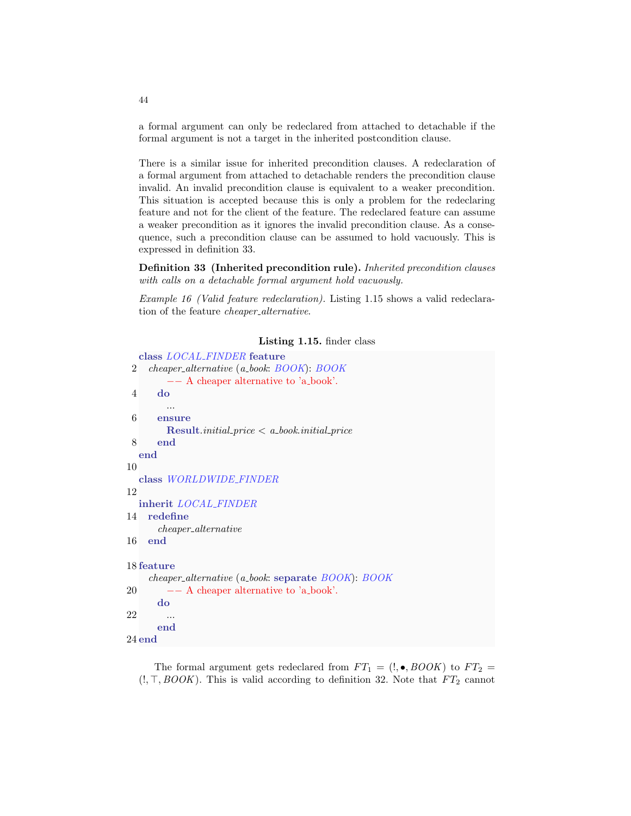a formal argument can only be redeclared from attached to detachable if the formal argument is not a target in the inherited postcondition clause.

There is a similar issue for inherited precondition clauses. A redeclaration of a formal argument from attached to detachable renders the precondition clause invalid. An invalid precondition clause is equivalent to a weaker precondition. This situation is accepted because this is only a problem for the redeclaring feature and not for the client of the feature. The redeclared feature can assume a weaker precondition as it ignores the invalid precondition clause. As a consequence, such a precondition clause can be assumed to hold vacuously. This is expressed in definition 33.

Definition 33 (Inherited precondition rule). Inherited precondition clauses with calls on a detachable formal argument hold vacuously.

Example 16 (Valid feature redeclaration). Listing 1.15 shows a valid redeclaration of the feature *cheaper\_alternative*.

#### Listing 1.15. finder class

```
class LOCAL FINDER feature
2 cheaper alternative (a book: BOOK): BOOK
         −− A cheaper alternative to 'a book'.
 4 do
       ...
 6 ensure
       Result. initial\_price < a\_book. initial\_price8 end
  end
10
  class WORLDWIDE FINDER
12
  inherit LOCAL FINDER
14 redefine
      cheaper alternative
16 end
18 feature
    cheaper alternative (a book: separate BOOK): BOOK
20 −− A cheaper alternative to 'a book'.
     do
22 ...
      end
24 end
```
The formal argument gets redeclared from  $FT_1 = (!, \bullet, BOOK)$  to  $FT_2 =$  $(!, \top, *BOOK*)$ . This is valid according to definition 32. Note that  $FT_2$  cannot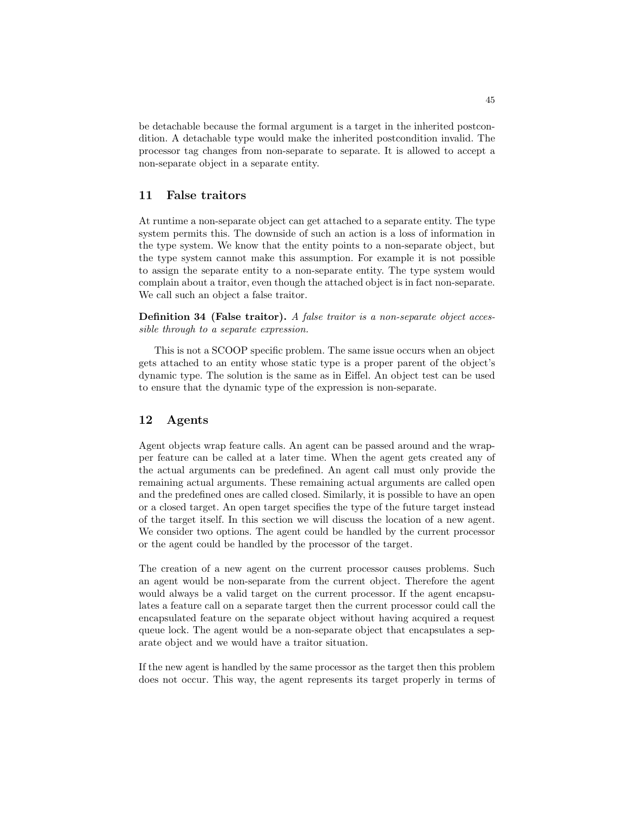be detachable because the formal argument is a target in the inherited postcondition. A detachable type would make the inherited postcondition invalid. The processor tag changes from non-separate to separate. It is allowed to accept a non-separate object in a separate entity.

# 11 False traitors

At runtime a non-separate object can get attached to a separate entity. The type system permits this. The downside of such an action is a loss of information in the type system. We know that the entity points to a non-separate object, but the type system cannot make this assumption. For example it is not possible to assign the separate entity to a non-separate entity. The type system would complain about a traitor, even though the attached object is in fact non-separate. We call such an object a false traitor.

Definition 34 (False traitor). A false traitor is a non-separate object accessible through to a separate expression.

This is not a SCOOP specific problem. The same issue occurs when an object gets attached to an entity whose static type is a proper parent of the object's dynamic type. The solution is the same as in Eiffel. An object test can be used to ensure that the dynamic type of the expression is non-separate.

# 12 Agents

Agent objects wrap feature calls. An agent can be passed around and the wrapper feature can be called at a later time. When the agent gets created any of the actual arguments can be predefined. An agent call must only provide the remaining actual arguments. These remaining actual arguments are called open and the predefined ones are called closed. Similarly, it is possible to have an open or a closed target. An open target specifies the type of the future target instead of the target itself. In this section we will discuss the location of a new agent. We consider two options. The agent could be handled by the current processor or the agent could be handled by the processor of the target.

The creation of a new agent on the current processor causes problems. Such an agent would be non-separate from the current object. Therefore the agent would always be a valid target on the current processor. If the agent encapsulates a feature call on a separate target then the current processor could call the encapsulated feature on the separate object without having acquired a request queue lock. The agent would be a non-separate object that encapsulates a separate object and we would have a traitor situation.

If the new agent is handled by the same processor as the target then this problem does not occur. This way, the agent represents its target properly in terms of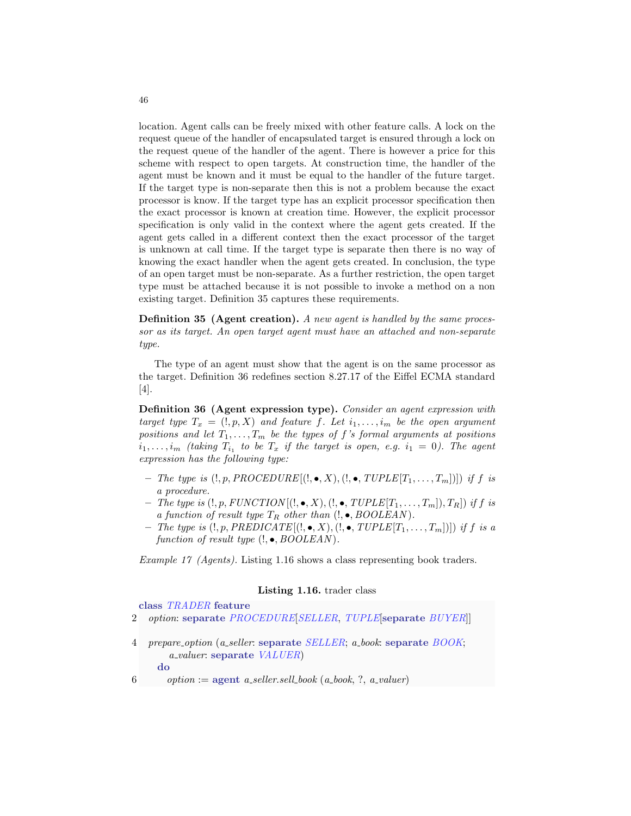location. Agent calls can be freely mixed with other feature calls. A lock on the request queue of the handler of encapsulated target is ensured through a lock on the request queue of the handler of the agent. There is however a price for this scheme with respect to open targets. At construction time, the handler of the agent must be known and it must be equal to the handler of the future target. If the target type is non-separate then this is not a problem because the exact processor is know. If the target type has an explicit processor specification then the exact processor is known at creation time. However, the explicit processor specification is only valid in the context where the agent gets created. If the agent gets called in a different context then the exact processor of the target is unknown at call time. If the target type is separate then there is no way of knowing the exact handler when the agent gets created. In conclusion, the type of an open target must be non-separate. As a further restriction, the open target type must be attached because it is not possible to invoke a method on a non existing target. Definition 35 captures these requirements.

Definition 35 (Agent creation). A new agent is handled by the same processor as its target. An open target agent must have an attached and non-separate type.

The type of an agent must show that the agent is on the same processor as the target. Definition 36 redefines section 8.27.17 of the Eiffel ECMA standard [4].

Definition 36 (Agent expression type). Consider an agent expression with target type  $T_x = (!, p, X)$  and feature f. Let  $i_1, \ldots, i_m$  be the open argument positions and let  $T_1, \ldots, T_m$  be the types of f's formal arguments at positions  $i_1,\ldots,i_m$  (taking  $T_{i_1}$  to be  $T_x$  if the target is open, e.g.  $i_1 = 0$ ). The agent expression has the following type:

- The type is  $(!, p, PROCEDURE[(!, \bullet, X), (!, \bullet, TUPLE[T_1, \ldots, T_m])])$  if f is a procedure.
- The type is  $(l, p, FUNCTION[(!, \bullet, X), (!, \bullet, TUPLE[T_1, \ldots, T_m]), T_R])$  if f is a function of result type  $T_R$  other than  $(l, \bullet, BOOLEAN)$ .
- The type is  $(l, p, PREDICATE[(!, \bullet, X), (!, \bullet, TUPLE[T_1, ..., T_m])])$  if f is a function of result type  $(!, \bullet, BOOLEAN)$ .

Example 17 (Agents). Listing 1.16 shows a class representing book traders.

#### Listing 1.16. trader class

class TRADER feature 2 option: separate PROCEDURE[SELLER, TUPLE[separate BUYER]] 4 prepare option (a seller: separate SELLER; a book: separate BOOK;  $a\_valler$ : separate  $VALUER$ do

6 option :=  $a$ gent  $a$ -seller.sell book  $(a$ -book, ?,  $a$ -valuer)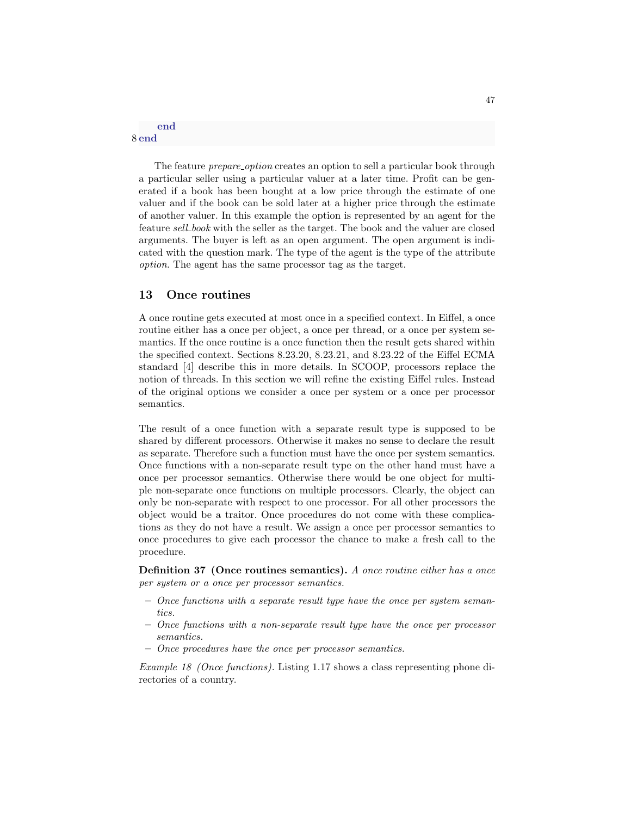#### end 8 end

The feature *prepare option* creates an option to sell a particular book through a particular seller using a particular valuer at a later time. Profit can be generated if a book has been bought at a low price through the estimate of one valuer and if the book can be sold later at a higher price through the estimate of another valuer. In this example the option is represented by an agent for the feature sell book with the seller as the target. The book and the valuer are closed arguments. The buyer is left as an open argument. The open argument is indicated with the question mark. The type of the agent is the type of the attribute option. The agent has the same processor tag as the target.

## 13 Once routines

A once routine gets executed at most once in a specified context. In Eiffel, a once routine either has a once per object, a once per thread, or a once per system semantics. If the once routine is a once function then the result gets shared within the specified context. Sections 8.23.20, 8.23.21, and 8.23.22 of the Eiffel ECMA standard [4] describe this in more details. In SCOOP, processors replace the notion of threads. In this section we will refine the existing Eiffel rules. Instead of the original options we consider a once per system or a once per processor semantics.

The result of a once function with a separate result type is supposed to be shared by different processors. Otherwise it makes no sense to declare the result as separate. Therefore such a function must have the once per system semantics. Once functions with a non-separate result type on the other hand must have a once per processor semantics. Otherwise there would be one object for multiple non-separate once functions on multiple processors. Clearly, the object can only be non-separate with respect to one processor. For all other processors the object would be a traitor. Once procedures do not come with these complications as they do not have a result. We assign a once per processor semantics to once procedures to give each processor the chance to make a fresh call to the procedure.

Definition 37 (Once routines semantics). A once routine either has a once per system or a once per processor semantics.

- Once functions with a separate result type have the once per system semantics.
- Once functions with a non-separate result type have the once per processor semantics.
- Once procedures have the once per processor semantics.

Example 18 (Once functions). Listing 1.17 shows a class representing phone directories of a country.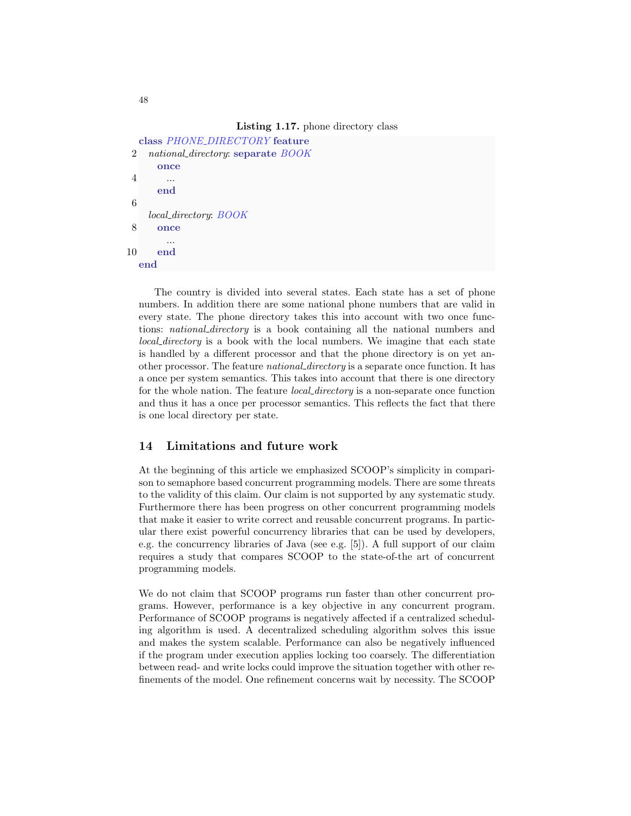#### Listing 1.17. phone directory class

```
class PHONE DIRECTORY feature
 2 national_directory: separate BOOK
     once
 4 ...
     end
6
    local directory: BOOK
8 once
       ...
10 end
  end
```
The country is divided into several states. Each state has a set of phone numbers. In addition there are some national phone numbers that are valid in every state. The phone directory takes this into account with two once functions: national directory is a book containing all the national numbers and local directory is a book with the local numbers. We imagine that each state is handled by a different processor and that the phone directory is on yet another processor. The feature national directory is a separate once function. It has a once per system semantics. This takes into account that there is one directory for the whole nation. The feature *local directory* is a non-separate once function and thus it has a once per processor semantics. This reflects the fact that there is one local directory per state.

# 14 Limitations and future work

At the beginning of this article we emphasized SCOOP's simplicity in comparison to semaphore based concurrent programming models. There are some threats to the validity of this claim. Our claim is not supported by any systematic study. Furthermore there has been progress on other concurrent programming models that make it easier to write correct and reusable concurrent programs. In particular there exist powerful concurrency libraries that can be used by developers, e.g. the concurrency libraries of Java (see e.g. [5]). A full support of our claim requires a study that compares SCOOP to the state-of-the art of concurrent programming models.

We do not claim that SCOOP programs run faster than other concurrent programs. However, performance is a key objective in any concurrent program. Performance of SCOOP programs is negatively affected if a centralized scheduling algorithm is used. A decentralized scheduling algorithm solves this issue and makes the system scalable. Performance can also be negatively influenced if the program under execution applies locking too coarsely. The differentiation between read- and write locks could improve the situation together with other refinements of the model. One refinement concerns wait by necessity. The SCOOP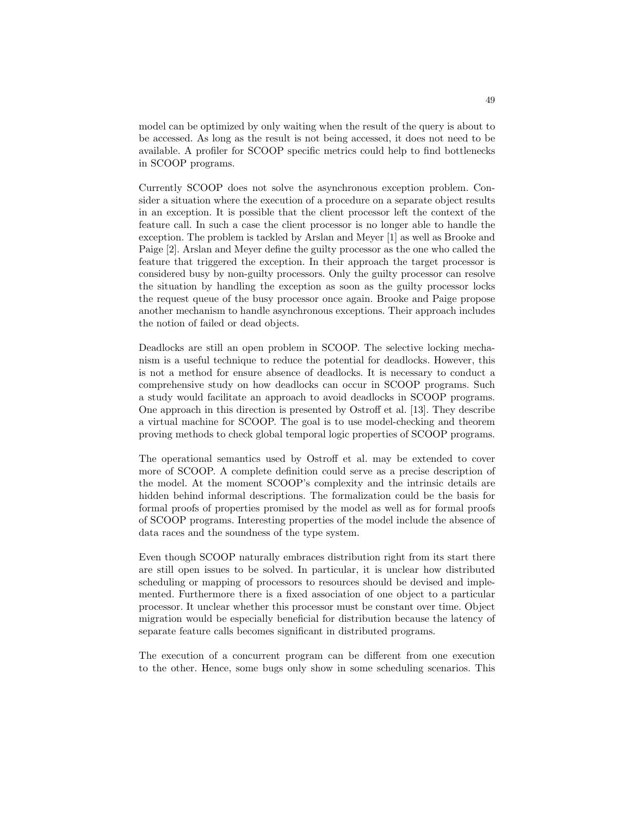model can be optimized by only waiting when the result of the query is about to be accessed. As long as the result is not being accessed, it does not need to be available. A profiler for SCOOP specific metrics could help to find bottlenecks in SCOOP programs.

Currently SCOOP does not solve the asynchronous exception problem. Consider a situation where the execution of a procedure on a separate object results in an exception. It is possible that the client processor left the context of the feature call. In such a case the client processor is no longer able to handle the exception. The problem is tackled by Arslan and Meyer [1] as well as Brooke and Paige [2]. Arslan and Meyer define the guilty processor as the one who called the feature that triggered the exception. In their approach the target processor is considered busy by non-guilty processors. Only the guilty processor can resolve the situation by handling the exception as soon as the guilty processor locks the request queue of the busy processor once again. Brooke and Paige propose another mechanism to handle asynchronous exceptions. Their approach includes the notion of failed or dead objects.

Deadlocks are still an open problem in SCOOP. The selective locking mechanism is a useful technique to reduce the potential for deadlocks. However, this is not a method for ensure absence of deadlocks. It is necessary to conduct a comprehensive study on how deadlocks can occur in SCOOP programs. Such a study would facilitate an approach to avoid deadlocks in SCOOP programs. One approach in this direction is presented by Ostroff et al. [13]. They describe a virtual machine for SCOOP. The goal is to use model-checking and theorem proving methods to check global temporal logic properties of SCOOP programs.

The operational semantics used by Ostroff et al. may be extended to cover more of SCOOP. A complete definition could serve as a precise description of the model. At the moment SCOOP's complexity and the intrinsic details are hidden behind informal descriptions. The formalization could be the basis for formal proofs of properties promised by the model as well as for formal proofs of SCOOP programs. Interesting properties of the model include the absence of data races and the soundness of the type system.

Even though SCOOP naturally embraces distribution right from its start there are still open issues to be solved. In particular, it is unclear how distributed scheduling or mapping of processors to resources should be devised and implemented. Furthermore there is a fixed association of one object to a particular processor. It unclear whether this processor must be constant over time. Object migration would be especially beneficial for distribution because the latency of separate feature calls becomes significant in distributed programs.

The execution of a concurrent program can be different from one execution to the other. Hence, some bugs only show in some scheduling scenarios. This